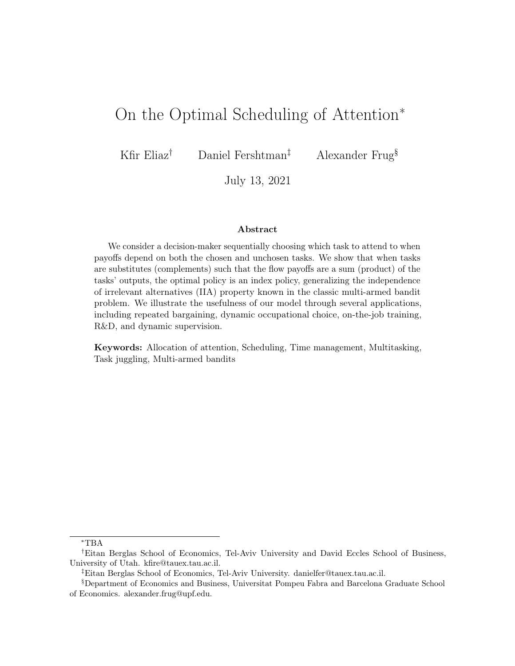# On the Optimal Scheduling of Attention<sup>∗</sup>

Kfir Eliaz<sup>†</sup> Daniel Fershtman<sup>‡</sup> Alexander Frug<sup>§</sup>

July 13, 2021

#### Abstract

We consider a decision-maker sequentially choosing which task to attend to when payoffs depend on both the chosen and unchosen tasks. We show that when tasks are substitutes (complements) such that the flow payoffs are a sum (product) of the tasks' outputs, the optimal policy is an index policy, generalizing the independence of irrelevant alternatives (IIA) property known in the classic multi-armed bandit problem. We illustrate the usefulness of our model through several applications, including repeated bargaining, dynamic occupational choice, on-the-job training, R&D, and dynamic supervision.

Keywords: Allocation of attention, Scheduling, Time management, Multitasking, Task juggling, Multi-armed bandits

<sup>∗</sup>TBA

<sup>†</sup>Eitan Berglas School of Economics, Tel-Aviv University and David Eccles School of Business, University of Utah. kfire@tauex.tau.ac.il.

<sup>‡</sup>Eitan Berglas School of Economics, Tel-Aviv University. danielfer@tauex.tau.ac.il.

<sup>§</sup>Department of Economics and Business, Universitat Pompeu Fabra and Barcelona Graduate School of Economics. alexander.frug@upf.edu.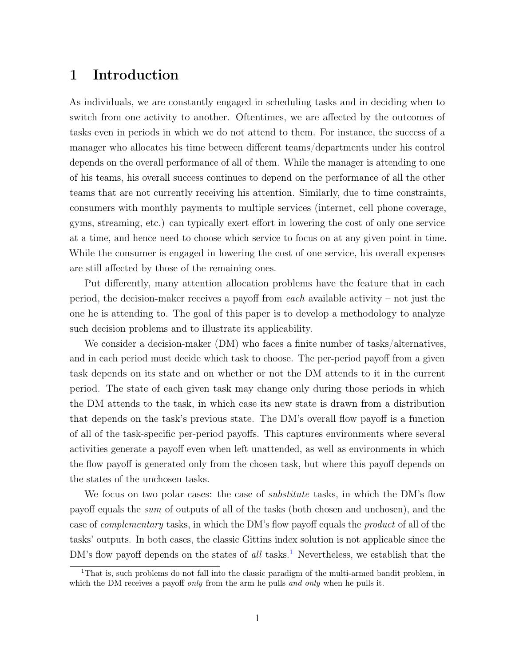## 1 Introduction

As individuals, we are constantly engaged in scheduling tasks and in deciding when to switch from one activity to another. Oftentimes, we are affected by the outcomes of tasks even in periods in which we do not attend to them. For instance, the success of a manager who allocates his time between different teams/departments under his control depends on the overall performance of all of them. While the manager is attending to one of his teams, his overall success continues to depend on the performance of all the other teams that are not currently receiving his attention. Similarly, due to time constraints, consumers with monthly payments to multiple services (internet, cell phone coverage, gyms, streaming, etc.) can typically exert effort in lowering the cost of only one service at a time, and hence need to choose which service to focus on at any given point in time. While the consumer is engaged in lowering the cost of one service, his overall expenses are still affected by those of the remaining ones.

Put differently, many attention allocation problems have the feature that in each period, the decision-maker receives a payoff from each available activity – not just the one he is attending to. The goal of this paper is to develop a methodology to analyze such decision problems and to illustrate its applicability.

We consider a decision-maker (DM) who faces a finite number of tasks/alternatives, and in each period must decide which task to choose. The per-period payoff from a given task depends on its state and on whether or not the DM attends to it in the current period. The state of each given task may change only during those periods in which the DM attends to the task, in which case its new state is drawn from a distribution that depends on the task's previous state. The DM's overall flow payoff is a function of all of the task-specific per-period payoffs. This captures environments where several activities generate a payoff even when left unattended, as well as environments in which the flow payoff is generated only from the chosen task, but where this payoff depends on the states of the unchosen tasks.

We focus on two polar cases: the case of *substitute* tasks, in which the DM's flow payoff equals the sum of outputs of all of the tasks (both chosen and unchosen), and the case of complementary tasks, in which the DM's flow payoff equals the product of all of the tasks' outputs. In both cases, the classic Gittins index solution is not applicable since the DM's flow payoff depends on the states of all tasks.<sup>[1](#page-1-0)</sup> Nevertheless, we establish that the

<span id="page-1-0"></span><sup>&</sup>lt;sup>1</sup>That is, such problems do not fall into the classic paradigm of the multi-armed bandit problem, in which the DM receives a payoff only from the arm he pulls and only when he pulls it.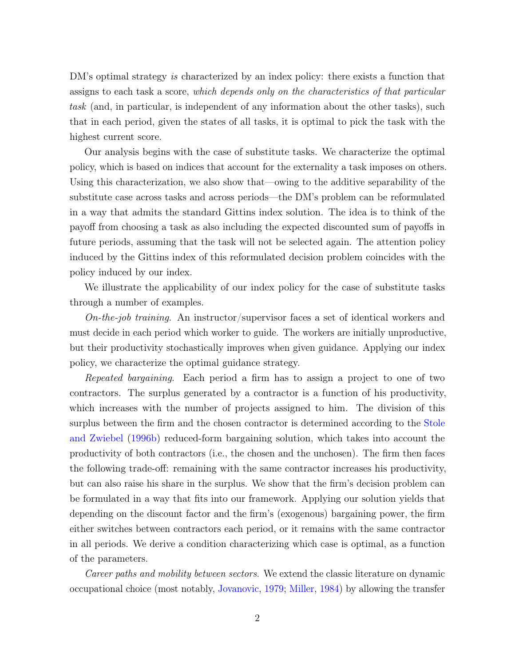DM's optimal strategy is characterized by an index policy: there exists a function that assigns to each task a score, which depends only on the characteristics of that particular task (and, in particular, is independent of any information about the other tasks), such that in each period, given the states of all tasks, it is optimal to pick the task with the highest current score.

Our analysis begins with the case of substitute tasks. We characterize the optimal policy, which is based on indices that account for the externality a task imposes on others. Using this characterization, we also show that—owing to the additive separability of the substitute case across tasks and across periods—the DM's problem can be reformulated in a way that admits the standard Gittins index solution. The idea is to think of the payoff from choosing a task as also including the expected discounted sum of payoffs in future periods, assuming that the task will not be selected again. The attention policy induced by the Gittins index of this reformulated decision problem coincides with the policy induced by our index.

We illustrate the applicability of our index policy for the case of substitute tasks through a number of examples.

On-the-job training. An instructor/supervisor faces a set of identical workers and must decide in each period which worker to guide. The workers are initially unproductive, but their productivity stochastically improves when given guidance. Applying our index policy, we characterize the optimal guidance strategy.

Repeated bargaining. Each period a firm has to assign a project to one of two contractors. The surplus generated by a contractor is a function of his productivity, which increases with the number of projects assigned to him. The division of this surplus between the firm and the chosen contractor is determined according to the [Stole](#page-34-0) [and Zwiebel](#page-34-0) [\(1996b\)](#page-34-0) reduced-form bargaining solution, which takes into account the productivity of both contractors (i.e., the chosen and the unchosen). The firm then faces the following trade-off: remaining with the same contractor increases his productivity, but can also raise his share in the surplus. We show that the firm's decision problem can be formulated in a way that fits into our framework. Applying our solution yields that depending on the discount factor and the firm's (exogenous) bargaining power, the firm either switches between contractors each period, or it remains with the same contractor in all periods. We derive a condition characterizing which case is optimal, as a function of the parameters.

Career paths and mobility between sectors. We extend the classic literature on dynamic occupational choice (most notably, [Jovanovic,](#page-33-0) [1979;](#page-33-0) [Miller,](#page-33-1) [1984\)](#page-33-1) by allowing the transfer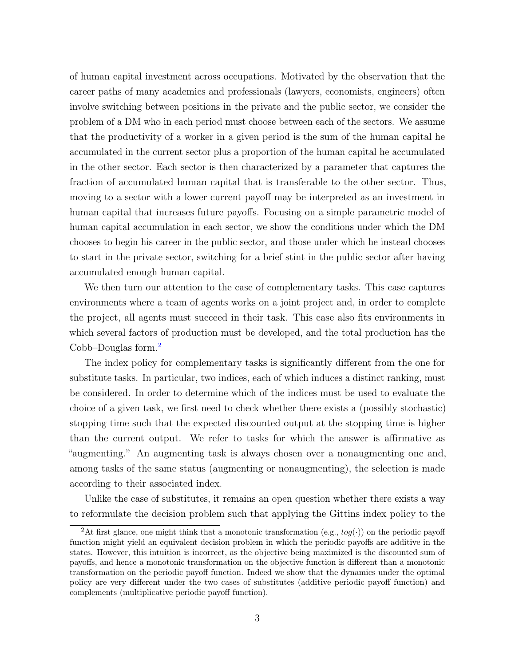of human capital investment across occupations. Motivated by the observation that the career paths of many academics and professionals (lawyers, economists, engineers) often involve switching between positions in the private and the public sector, we consider the problem of a DM who in each period must choose between each of the sectors. We assume that the productivity of a worker in a given period is the sum of the human capital he accumulated in the current sector plus a proportion of the human capital he accumulated in the other sector. Each sector is then characterized by a parameter that captures the fraction of accumulated human capital that is transferable to the other sector. Thus, moving to a sector with a lower current payoff may be interpreted as an investment in human capital that increases future payoffs. Focusing on a simple parametric model of human capital accumulation in each sector, we show the conditions under which the DM chooses to begin his career in the public sector, and those under which he instead chooses to start in the private sector, switching for a brief stint in the public sector after having accumulated enough human capital.

We then turn our attention to the case of complementary tasks. This case captures environments where a team of agents works on a joint project and, in order to complete the project, all agents must succeed in their task. This case also fits environments in which several factors of production must be developed, and the total production has the Cobb–Douglas form.[2](#page-3-0)

The index policy for complementary tasks is significantly different from the one for substitute tasks. In particular, two indices, each of which induces a distinct ranking, must be considered. In order to determine which of the indices must be used to evaluate the choice of a given task, we first need to check whether there exists a (possibly stochastic) stopping time such that the expected discounted output at the stopping time is higher than the current output. We refer to tasks for which the answer is affirmative as "augmenting." An augmenting task is always chosen over a nonaugmenting one and, among tasks of the same status (augmenting or nonaugmenting), the selection is made according to their associated index.

Unlike the case of substitutes, it remains an open question whether there exists a way to reformulate the decision problem such that applying the Gittins index policy to the

<span id="page-3-0"></span><sup>&</sup>lt;sup>2</sup>At first glance, one might think that a monotonic transformation (e.g.,  $log(·)$ ) on the periodic payoff function might yield an equivalent decision problem in which the periodic payoffs are additive in the states. However, this intuition is incorrect, as the objective being maximized is the discounted sum of payoffs, and hence a monotonic transformation on the objective function is different than a monotonic transformation on the periodic payoff function. Indeed we show that the dynamics under the optimal policy are very different under the two cases of substitutes (additive periodic payoff function) and complements (multiplicative periodic payoff function).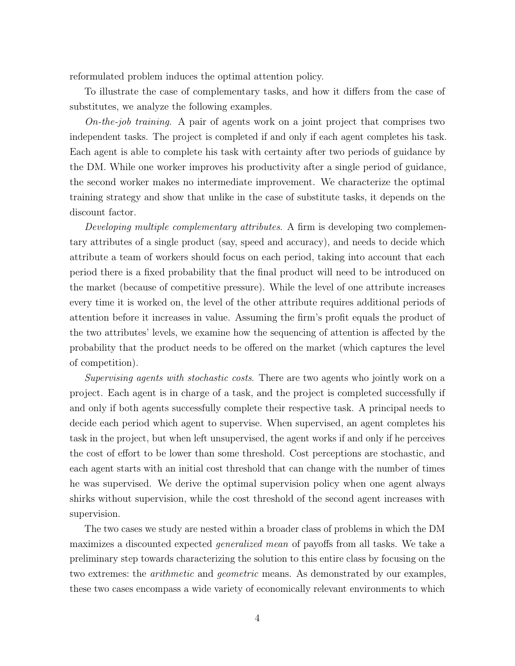reformulated problem induces the optimal attention policy.

To illustrate the case of complementary tasks, and how it differs from the case of substitutes, we analyze the following examples.

On-the-job training. A pair of agents work on a joint project that comprises two independent tasks. The project is completed if and only if each agent completes his task. Each agent is able to complete his task with certainty after two periods of guidance by the DM. While one worker improves his productivity after a single period of guidance, the second worker makes no intermediate improvement. We characterize the optimal training strategy and show that unlike in the case of substitute tasks, it depends on the discount factor.

Developing multiple complementary attributes. A firm is developing two complementary attributes of a single product (say, speed and accuracy), and needs to decide which attribute a team of workers should focus on each period, taking into account that each period there is a fixed probability that the final product will need to be introduced on the market (because of competitive pressure). While the level of one attribute increases every time it is worked on, the level of the other attribute requires additional periods of attention before it increases in value. Assuming the firm's profit equals the product of the two attributes' levels, we examine how the sequencing of attention is affected by the probability that the product needs to be offered on the market (which captures the level of competition).

Supervising agents with stochastic costs. There are two agents who jointly work on a project. Each agent is in charge of a task, and the project is completed successfully if and only if both agents successfully complete their respective task. A principal needs to decide each period which agent to supervise. When supervised, an agent completes his task in the project, but when left unsupervised, the agent works if and only if he perceives the cost of effort to be lower than some threshold. Cost perceptions are stochastic, and each agent starts with an initial cost threshold that can change with the number of times he was supervised. We derive the optimal supervision policy when one agent always shirks without supervision, while the cost threshold of the second agent increases with supervision.

The two cases we study are nested within a broader class of problems in which the DM maximizes a discounted expected generalized mean of payoffs from all tasks. We take a preliminary step towards characterizing the solution to this entire class by focusing on the two extremes: the arithmetic and geometric means. As demonstrated by our examples, these two cases encompass a wide variety of economically relevant environments to which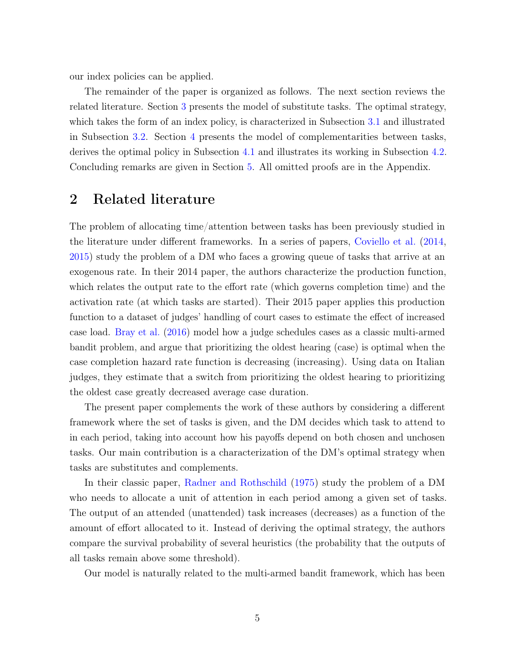our index policies can be applied.

The remainder of the paper is organized as follows. The next section reviews the related literature. Section [3](#page-7-0) presents the model of substitute tasks. The optimal strategy, which takes the form of an index policy, is characterized in Subsection [3.1](#page-8-0) and illustrated in Subsection [3.2.](#page-14-0) Section [4](#page-21-0) presents the model of complementarities between tasks, derives the optimal policy in Subsection [4.1](#page-21-1) and illustrates its working in Subsection [4.2.](#page-25-0) Concluding remarks are given in Section [5.](#page-31-0) All omitted proofs are in the Appendix.

## 2 Related literature

The problem of allocating time/attention between tasks has been previously studied in the literature under different frameworks. In a series of papers, [Coviello et al.](#page-32-0) [\(2014,](#page-32-0) [2015\)](#page-32-1) study the problem of a DM who faces a growing queue of tasks that arrive at an exogenous rate. In their 2014 paper, the authors characterize the production function, which relates the output rate to the effort rate (which governs completion time) and the activation rate (at which tasks are started). Their 2015 paper applies this production function to a dataset of judges' handling of court cases to estimate the effect of increased case load. [Bray et al.](#page-32-2) [\(2016\)](#page-32-2) model how a judge schedules cases as a classic multi-armed bandit problem, and argue that prioritizing the oldest hearing (case) is optimal when the case completion hazard rate function is decreasing (increasing). Using data on Italian judges, they estimate that a switch from prioritizing the oldest hearing to prioritizing the oldest case greatly decreased average case duration.

The present paper complements the work of these authors by considering a different framework where the set of tasks is given, and the DM decides which task to attend to in each period, taking into account how his payoffs depend on both chosen and unchosen tasks. Our main contribution is a characterization of the DM's optimal strategy when tasks are substitutes and complements.

In their classic paper, [Radner and Rothschild](#page-34-1) [\(1975\)](#page-34-1) study the problem of a DM who needs to allocate a unit of attention in each period among a given set of tasks. The output of an attended (unattended) task increases (decreases) as a function of the amount of effort allocated to it. Instead of deriving the optimal strategy, the authors compare the survival probability of several heuristics (the probability that the outputs of all tasks remain above some threshold).

Our model is naturally related to the multi-armed bandit framework, which has been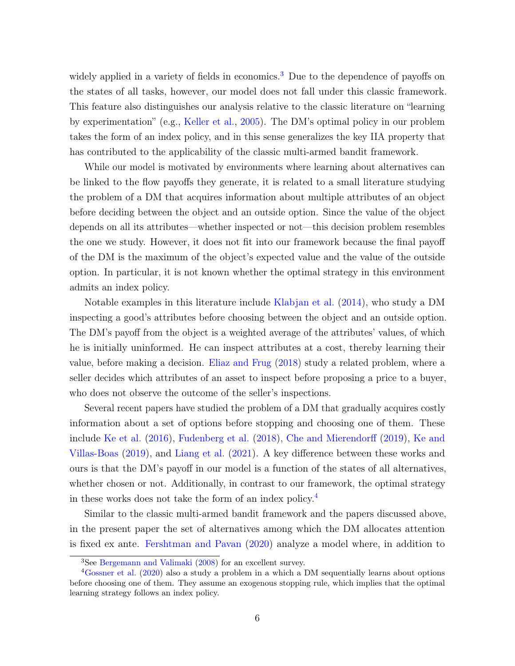widely applied in a variety of fields in economics.<sup>[3](#page-6-0)</sup> Due to the dependence of payoffs on the states of all tasks, however, our model does not fall under this classic framework. This feature also distinguishes our analysis relative to the classic literature on "learning by experimentation" (e.g., [Keller et al.,](#page-33-2) [2005\)](#page-33-2). The DM's optimal policy in our problem takes the form of an index policy, and in this sense generalizes the key IIA property that has contributed to the applicability of the classic multi-armed bandit framework.

While our model is motivated by environments where learning about alternatives can be linked to the flow payoffs they generate, it is related to a small literature studying the problem of a DM that acquires information about multiple attributes of an object before deciding between the object and an outside option. Since the value of the object depends on all its attributes—whether inspected or not—this decision problem resembles the one we study. However, it does not fit into our framework because the final payoff of the DM is the maximum of the object's expected value and the value of the outside option. In particular, it is not known whether the optimal strategy in this environment admits an index policy.

Notable examples in this literature include [Klabjan et al.](#page-33-3) [\(2014\)](#page-33-3), who study a DM inspecting a good's attributes before choosing between the object and an outside option. The DM's payoff from the object is a weighted average of the attributes' values, of which he is initially uninformed. He can inspect attributes at a cost, thereby learning their value, before making a decision. [Eliaz and Frug](#page-32-3) [\(2018\)](#page-32-3) study a related problem, where a seller decides which attributes of an asset to inspect before proposing a price to a buyer, who does not observe the outcome of the seller's inspections.

Several recent papers have studied the problem of a DM that gradually acquires costly information about a set of options before stopping and choosing one of them. These include [Ke et al.](#page-33-4) [\(2016\)](#page-33-4), [Fudenberg et al.](#page-32-4) [\(2018\)](#page-32-4), [Che and Mierendorff](#page-32-5) [\(2019\)](#page-32-5), [Ke and](#page-33-5) [Villas-Boas](#page-33-5) [\(2019\)](#page-33-5), and [Liang et al.](#page-33-6) [\(2021\)](#page-33-6). A key difference between these works and ours is that the DM's payoff in our model is a function of the states of all alternatives, whether chosen or not. Additionally, in contrast to our framework, the optimal strategy in these works does not take the form of an index policy.[4](#page-6-1)

Similar to the classic multi-armed bandit framework and the papers discussed above, in the present paper the set of alternatives among which the DM allocates attention is fixed ex ante. [Fershtman and Pavan](#page-32-6) [\(2020\)](#page-32-6) analyze a model where, in addition to

<span id="page-6-1"></span><span id="page-6-0"></span><sup>3</sup>See [Bergemann and Valimaki](#page-32-7) [\(2008\)](#page-32-7) for an excellent survey.

<sup>4</sup>[Gossner et al.](#page-32-8) [\(2020\)](#page-32-8) also a study a problem in a which a DM sequentially learns about options before choosing one of them. They assume an exogenous stopping rule, which implies that the optimal learning strategy follows an index policy.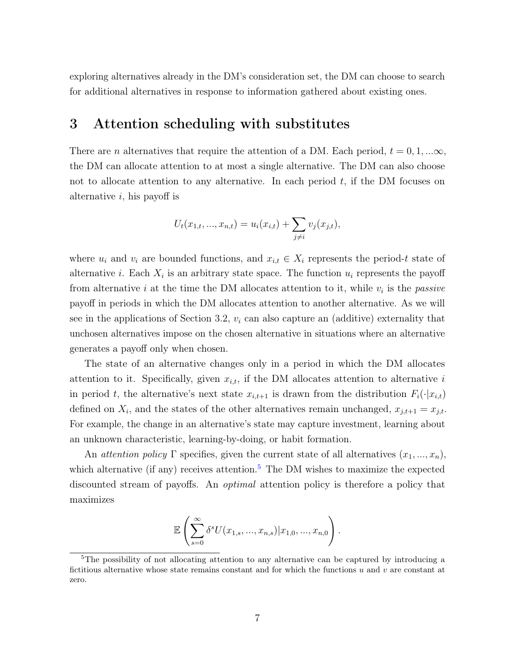exploring alternatives already in the DM's consideration set, the DM can choose to search for additional alternatives in response to information gathered about existing ones.

## <span id="page-7-0"></span>3 Attention scheduling with substitutes

There are *n* alternatives that require the attention of a DM. Each period,  $t = 0, 1, ... \infty$ , the DM can allocate attention to at most a single alternative. The DM can also choose not to allocate attention to any alternative. In each period  $t$ , if the DM focuses on alternative  $i$ , his payoff is

$$
U_t(x_{1,t},...,x_{n,t}) = u_i(x_{i,t}) + \sum_{j \neq i} v_j(x_{j,t}),
$$

where  $u_i$  and  $v_i$  are bounded functions, and  $x_{i,t} \in X_i$  represents the period-t state of alternative *i*. Each  $X_i$  is an arbitrary state space. The function  $u_i$  represents the payoff from alternative *i* at the time the DM allocates attention to it, while  $v_i$  is the *passive* payoff in periods in which the DM allocates attention to another alternative. As we will see in the applications of Section 3.2,  $v_i$  can also capture an (additive) externality that unchosen alternatives impose on the chosen alternative in situations where an alternative generates a payoff only when chosen.

The state of an alternative changes only in a period in which the DM allocates attention to it. Specifically, given  $x_{i,t}$ , if the DM allocates attention to alternative i in period t, the alternative's next state  $x_{i,t+1}$  is drawn from the distribution  $F_i(\cdot|x_{i,t})$ defined on  $X_i$ , and the states of the other alternatives remain unchanged,  $x_{j,t+1} = x_{j,t}$ . For example, the change in an alternative's state may capture investment, learning about an unknown characteristic, learning-by-doing, or habit formation.

An *attention policy* Γ specifies, given the current state of all alternatives  $(x_1, ..., x_n)$ , which alternative (if any) receives attention.<sup>[5](#page-7-1)</sup> The DM wishes to maximize the expected discounted stream of payoffs. An *optimal* attention policy is therefore a policy that maximizes

$$
\mathbb{E}\left(\sum_{s=0}^{\infty} \delta^s U(x_{1,s},...,x_{n,s})|x_{1,0},...,x_{n,0}\right).
$$

<span id="page-7-1"></span><sup>&</sup>lt;sup>5</sup>The possibility of not allocating attention to any alternative can be captured by introducing a fictitious alternative whose state remains constant and for which the functions  $u$  and  $v$  are constant at zero.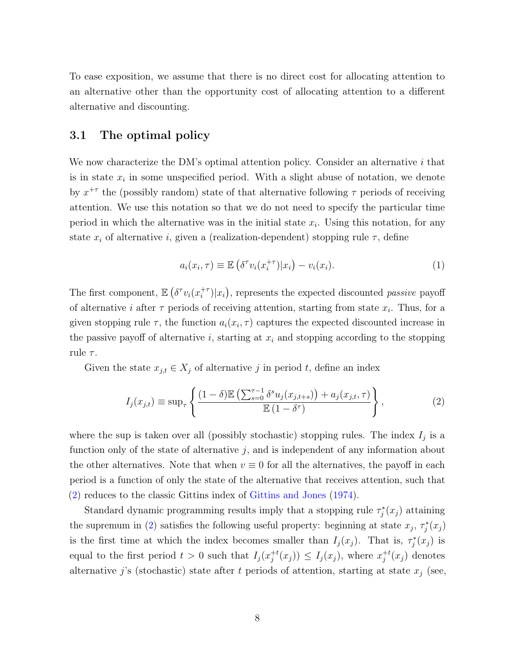To ease exposition, we assume that there is no direct cost for allocating attention to an alternative other than the opportunity cost of allocating attention to a different alternative and discounting.

### <span id="page-8-0"></span>3.1 The optimal policy

We now characterize the DM's optimal attention policy. Consider an alternative  $i$  that is in state  $x_i$  in some unspecified period. With a slight abuse of notation, we denote by  $x^{+\tau}$  the (possibly random) state of that alternative following  $\tau$  periods of receiving attention. We use this notation so that we do not need to specify the particular time period in which the alternative was in the initial state  $x_i$ . Using this notation, for any state  $x_i$  of alternative i, given a (realization-dependent) stopping rule  $\tau$ , define

<span id="page-8-1"></span>
$$
a_i(x_i, \tau) \equiv \mathbb{E}\left(\delta^\tau v_i(x_i^{+\tau})|x_i\right) - v_i(x_i). \tag{1}
$$

The first component,  $\mathbb{E} \left( \delta^{\tau} v_i(x_i^{+\tau}) \right)$  $\binom{+\tau}{i}|x_i\rangle$ , represents the expected discounted *passive* payoff of alternative *i* after  $\tau$  periods of receiving attention, starting from state  $x_i$ . Thus, for a given stopping rule  $\tau$ , the function  $a_i(x_i, \tau)$  captures the expected discounted increase in the passive payoff of alternative i, starting at  $x_i$  and stopping according to the stopping rule  $\tau$ .

Given the state  $x_{j,t} \in X_j$  of alternative j in period t, define an index

$$
I_j(x_{j,t}) \equiv \sup_{\tau} \left\{ \frac{(1-\delta)\mathbb{E}\left(\sum_{s=0}^{\tau-1} \delta^s u_j(x_{j,t+s})\right) + a_j(x_{j,t},\tau)}{\mathbb{E}\left(1-\delta^{\tau}\right)} \right\},\tag{2}
$$

where the sup is taken over all (possibly stochastic) stopping rules. The index  $I_j$  is a function only of the state of alternative  $j$ , and is independent of any information about the other alternatives. Note that when  $v \equiv 0$  for all the alternatives, the payoff in each period is a function of only the state of the alternative that receives attention, such that [\(2\)](#page-8-1) reduces to the classic Gittins index of [Gittins and Jones](#page-32-9) [\(1974\)](#page-32-9).

Standard dynamic programming results imply that a stopping rule  $\tau_j^*(x_j)$  attaining the supremum in [\(2\)](#page-8-1) satisfies the following useful property: beginning at state  $x_j$ ,  $\tau_j^*(x_j)$ is the first time at which the index becomes smaller than  $I_j(x_j)$ . That is,  $\tau_j^*(x_j)$  is equal to the first period  $t > 0$  such that  $I_j(x_i^{+t})$  $j^{+t}(x_j) \leq I_j(x_j)$ , where  $x_j^{+t}$  $j^{+t}(x_j)$  denotes alternative j's (stochastic) state after t periods of attention, starting at state  $x_j$  (see,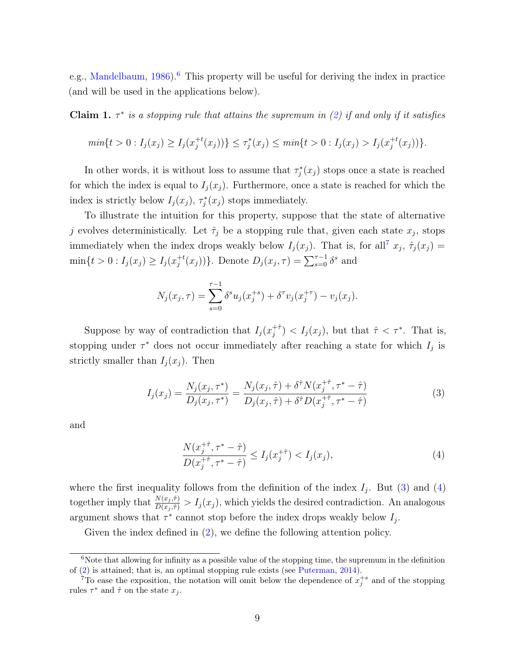e.g., [Mandelbaum,](#page-33-7)  $1986$  $1986$ .<sup>6</sup> This property will be useful for deriving the index in practice (and will be used in the applications below).

<span id="page-9-4"></span>**Claim 1.**  $\tau^*$  is a stopping rule that attains the supremum in [\(2\)](#page-8-1) if and only if it satisfies

$$
min\{t > 0 : I_j(x_j) \ge I_j(x_j^{+t}(x_j))\} \le \tau_j^*(x_j) \le min\{t > 0 : I_j(x_j) > I_j(x_j^{+t}(x_j))\}.
$$

In other words, it is without loss to assume that  $\tau_j^*(x_j)$  stops once a state is reached for which the index is equal to  $I_j(x_j)$ . Furthermore, once a state is reached for which the index is strictly below  $I_j(x_j)$ ,  $\tau_j^*(x_j)$  stops immediately.

To illustrate the intuition for this property, suppose that the state of alternative j evolves deterministically. Let  $\hat{\tau}_j$  be a stopping rule that, given each state  $x_j$ , stops immediately when the index drops weakly below  $I_j(x_j)$ . That is, for all<sup>[7](#page-9-1)</sup>  $x_j$ ,  $\hat{\tau}_j(x_j)$  =  $\min\{t>0: I_j(x_j)\geq I_j(x_j^{+t})\}$ <sup>+t</sup>(x<sub>j</sub>))}. Denote  $D_j(x_j, \tau) = \sum_{s=0}^{\tau-1} \delta^s$  and

$$
N_j(x_j, \tau) = \sum_{s=0}^{\tau-1} \delta^s u_j(x_j^{+s}) + \delta^{\tau} v_j(x_j^{+\tau}) - v_j(x_j).
$$

Suppose by way of contradiction that  $I_j(x_i^{+t})$  $\hat{\tau}^{+,\hat{\tau}}$  >  $I_j(x_j)$ , but that  $\hat{\tau}$  <  $\tau^*$ . That is, stopping under  $\tau^*$  does not occur immediately after reaching a state for which  $I_j$  is strictly smaller than  $I_j(x_j)$ . Then

$$
I_j(x_j) = \frac{N_j(x_j, \tau^*)}{D_j(x_j, \tau^*)} = \frac{N_j(x_j, \hat{\tau}) + \delta^{\hat{\tau}} N(x_j^{+ \hat{\tau}}, \tau^* - \hat{\tau})}{D_j(x_j, \hat{\tau}) + \delta^{\hat{\tau}} D(x_j^{+ \hat{\tau}}, \tau^* - \hat{\tau})}
$$
(3)

and

<span id="page-9-3"></span><span id="page-9-2"></span>
$$
\frac{N(x_j^{+\hat{\tau}}, \tau^* - \hat{\tau})}{D(x_j^{+\hat{\tau}}, \tau^* - \hat{\tau})} \le I_j(x_j^{+\hat{\tau}}) < I_j(x_j),\tag{4}
$$

where the first inequality follows from the definition of the index  $I_j$ . But [\(3\)](#page-9-2) and [\(4\)](#page-9-3) together imply that  $\frac{N(x_j, \hat{\tau})}{D(x_j, \hat{\tau})} > I_j(x_j)$ , which yields the desired contradiction. An analogous argument shows that  $\tau^*$  cannot stop before the index drops weakly below  $I_j$ .

Given the index defined in [\(2\)](#page-8-1), we define the following attention policy.

<span id="page-9-0"></span> $6N$ ote that allowing for infinity as a possible value of the stopping time, the supremum in the definition of [\(2\)](#page-8-1) is attained; that is, an optimal stopping rule exists (see [Puterman,](#page-33-8) [2014\)](#page-33-8).

<span id="page-9-1"></span><sup>&</sup>lt;sup>7</sup>To ease the exposition, the notation will omit below the dependence of  $x_j^{+s}$  and of the stopping rules  $\tau^*$  and  $\hat{\tau}$  on the state  $x_j$ .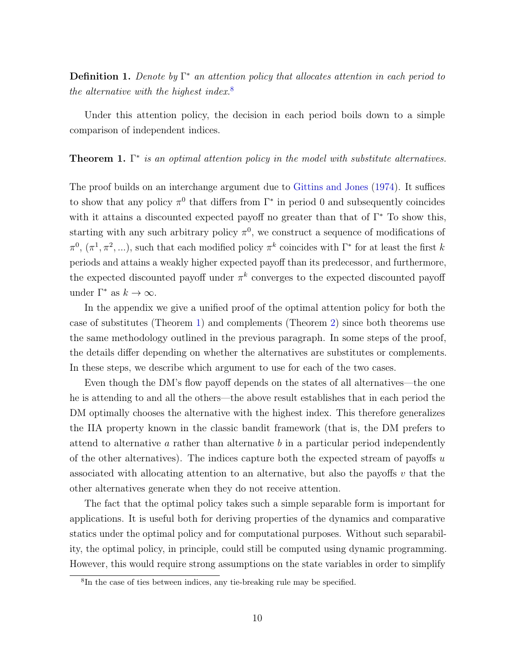**Definition 1.** Denote by  $\Gamma^*$  an attention policy that allocates attention in each period to the alternative with the highest index. $8$ 

Under this attention policy, the decision in each period boils down to a simple comparison of independent indices.

<span id="page-10-1"></span>**Theorem 1.**  $\Gamma^*$  is an optimal attention policy in the model with substitute alternatives.

The proof builds on an interchange argument due to [Gittins and Jones](#page-32-9) [\(1974\)](#page-32-9). It suffices to show that any policy  $\pi^0$  that differs from  $\Gamma^*$  in period 0 and subsequently coincides with it attains a discounted expected payoff no greater than that of  $\Gamma^*$  To show this, starting with any such arbitrary policy  $\pi^0$ , we construct a sequence of modifications of  $\pi^0$ ,  $(\pi^1, \pi^2, ...)$ , such that each modified policy  $\pi^k$  coincides with  $\Gamma^*$  for at least the first k periods and attains a weakly higher expected payoff than its predecessor, and furthermore, the expected discounted payoff under  $\pi^k$  converges to the expected discounted payoff under  $\Gamma^*$  as  $k \to \infty$ .

In the appendix we give a unified proof of the optimal attention policy for both the case of substitutes (Theorem [1\)](#page-10-1) and complements (Theorem [2\)](#page-24-0) since both theorems use the same methodology outlined in the previous paragraph. In some steps of the proof, the details differ depending on whether the alternatives are substitutes or complements. In these steps, we describe which argument to use for each of the two cases.

Even though the DM's flow payoff depends on the states of all alternatives—the one he is attending to and all the others—the above result establishes that in each period the DM optimally chooses the alternative with the highest index. This therefore generalizes the IIA property known in the classic bandit framework (that is, the DM prefers to attend to alternative a rather than alternative  $b$  in a particular period independently of the other alternatives). The indices capture both the expected stream of payoffs  $u$ associated with allocating attention to an alternative, but also the payoffs  $v$  that the other alternatives generate when they do not receive attention.

The fact that the optimal policy takes such a simple separable form is important for applications. It is useful both for deriving properties of the dynamics and comparative statics under the optimal policy and for computational purposes. Without such separability, the optimal policy, in principle, could still be computed using dynamic programming. However, this would require strong assumptions on the state variables in order to simplify

<span id="page-10-0"></span><sup>8</sup> In the case of ties between indices, any tie-breaking rule may be specified.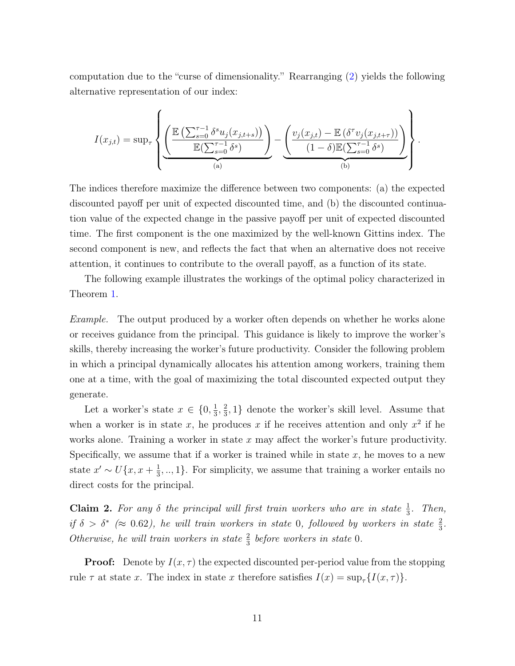computation due to the "curse of dimensionality." Rearranging [\(2\)](#page-8-1) yields the following alternative representation of our index:

$$
I(x_{j,t}) = \sup_{\tau} \left\{ \underbrace{\left( \frac{\mathbb{E}\left( \sum_{s=0}^{\tau-1} \delta^s u_j(x_{j,t+s}) \right)}{\mathbb{E}(\sum_{s=0}^{\tau-1} \delta^s)} \right)}_{(a)} - \underbrace{\left( \frac{v_j(x_{j,t}) - \mathbb{E}\left( \delta^{\tau} v_j(x_{j,t+\tau}) \right)}{(1-\delta)\mathbb{E}(\sum_{s=0}^{\tau-1} \delta^s)} \right)}_{(b)} \right\}.
$$

The indices therefore maximize the difference between two components: (a) the expected discounted payoff per unit of expected discounted time, and (b) the discounted continuation value of the expected change in the passive payoff per unit of expected discounted time. The first component is the one maximized by the well-known Gittins index. The second component is new, and reflects the fact that when an alternative does not receive attention, it continues to contribute to the overall payoff, as a function of its state.

The following example illustrates the workings of the optimal policy characterized in Theorem [1.](#page-10-1)

Example. The output produced by a worker often depends on whether he works alone or receives guidance from the principal. This guidance is likely to improve the worker's skills, thereby increasing the worker's future productivity. Consider the following problem in which a principal dynamically allocates his attention among workers, training them one at a time, with the goal of maximizing the total discounted expected output they generate.

Let a worker's state  $x \in \{0, \frac{1}{3}\}$  $\frac{1}{3}, \frac{2}{3}$  $\frac{2}{3}$ , 1} denote the worker's skill level. Assume that when a worker is in state x, he produces x if he receives attention and only  $x^2$  if he works alone. Training a worker in state  $x$  may affect the worker's future productivity. Specifically, we assume that if a worker is trained while in state  $x$ , he moves to a new state  $x' \sim U\{x, x+\frac{1}{3}\}$  $\frac{1}{3}, \ldots, 1$ . For simplicity, we assume that training a worker entails no direct costs for the principal.

**Claim 2.** For any  $\delta$  the principal will first train workers who are in state  $\frac{1}{3}$ . Then, if  $\delta > \delta^*$  ( $\approx 0.62$ ), he will train workers in state 0, followed by workers in state  $\frac{2}{3}$ . Otherwise, he will train workers in state  $\frac{2}{3}$  before workers in state 0.

**Proof:** Denote by  $I(x, \tau)$  the expected discounted per-period value from the stopping rule  $\tau$  at state x. The index in state x therefore satisfies  $I(x) = \sup_{\tau} \{I(x, \tau)\}.$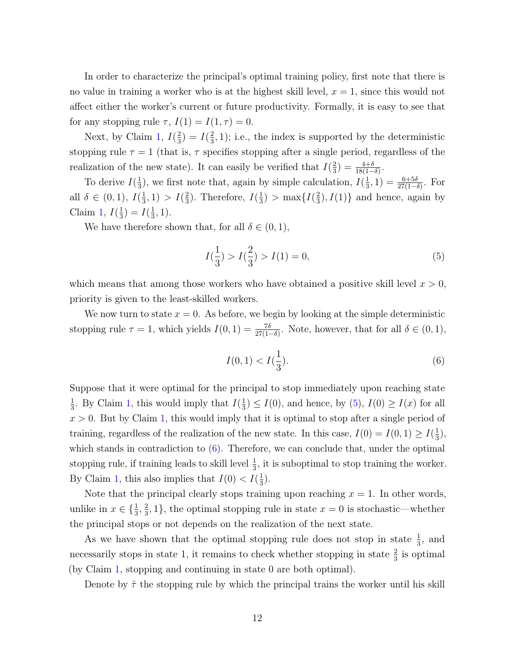In order to characterize the principal's optimal training policy, first note that there is no value in training a worker who is at the highest skill level,  $x = 1$ , since this would not affect either the worker's current or future productivity. Formally, it is easy to see that for any stopping rule  $\tau$ ,  $I(1) = I(1, \tau) = 0$ .

Next, by Claim [1,](#page-9-4)  $I(\frac{2}{3})$  $(\frac{2}{3})=I(\frac{2}{3})$  $(\frac{2}{3}, 1)$ ; i.e., the index is supported by the deterministic stopping rule  $\tau = 1$  (that is,  $\tau$  specifies stopping after a single period, regardless of the realization of the new state). It can easily be verified that  $I(\frac{2}{3})$  $\frac{2}{3}$ ) =  $\frac{4+\delta}{18(1-\delta)}$ .

To derive  $I(\frac{1}{3})$  $\frac{1}{3}$ ), we first note that, again by simple calculation,  $I(\frac{1}{3})$  $(\frac{1}{3}, 1) = \frac{6+5\delta}{27(1-\delta)}$ . For all  $\delta \in (0,1), I(\frac{1}{3})$  $(\frac{1}{3},1) > I(\frac{2}{3})$  $(\frac{2}{3})$ . Therefore,  $I(\frac{1}{3})$  $\frac{1}{3}$ ) > max $\frac{1}{3}$  $\left\{\frac{2}{3}\right\}$ ,  $I(1)$ } and hence, again by Claim [1,](#page-9-4)  $I(\frac{1}{3})$  $(\frac{1}{3})=I(\frac{1}{3})$  $\frac{1}{3}, 1$ ).

We have therefore shown that, for all  $\delta \in (0,1)$ ,

<span id="page-12-0"></span>
$$
I(\frac{1}{3}) > I(\frac{2}{3}) > I(1) = 0,
$$
\n<sup>(5)</sup>

which means that among those workers who have obtained a positive skill level  $x > 0$ , priority is given to the least-skilled workers.

We now turn to state  $x = 0$ . As before, we begin by looking at the simple deterministic stopping rule  $\tau = 1$ , which yields  $I(0, 1) = \frac{7\delta}{27(1-\delta)}$ . Note, however, that for all  $\delta \in (0, 1)$ ,

<span id="page-12-1"></span>
$$
I(0,1) < I(\frac{1}{3}).\tag{6}
$$

Suppose that it were optimal for the principal to stop immediately upon reaching state 1  $\frac{1}{3}$ . By Claim [1,](#page-9-4) this would imply that  $I(\frac{1}{3})$  $\frac{1}{3}$ )  $\leq I(0)$ , and hence, by [\(5\)](#page-12-0),  $I(0) \geq I(x)$  for all  $x > 0$ . But by Claim [1,](#page-9-4) this would imply that it is optimal to stop after a single period of training, regardless of the realization of the new state. In this case,  $I(0) = I(0, 1) \ge I(\frac{1}{3})$  $\frac{1}{3}$ ), which stands in contradiction to  $(6)$ . Therefore, we can conclude that, under the optimal stopping rule, if training leads to skill level  $\frac{1}{3}$ , it is suboptimal to stop training the worker. By Claim [1,](#page-9-4) this also implies that  $I(0) < I(\frac{1}{3})$  $\frac{1}{3}$ .

Note that the principal clearly stops training upon reaching  $x = 1$ . In other words, unlike in  $x \in \{\frac{1}{3}, \frac{2}{3}\}$  $\frac{2}{3}$ , 1}, the optimal stopping rule in state  $x = 0$  is stochastic—whether the principal stops or not depends on the realization of the next state.

As we have shown that the optimal stopping rule does not stop in state  $\frac{1}{3}$ , and necessarily stops in state 1, it remains to check whether stopping in state  $\frac{2}{3}$  is optimal (by Claim [1,](#page-9-4) stopping and continuing in state 0 are both optimal).

Denote by  $\hat{\tau}$  the stopping rule by which the principal trains the worker until his skill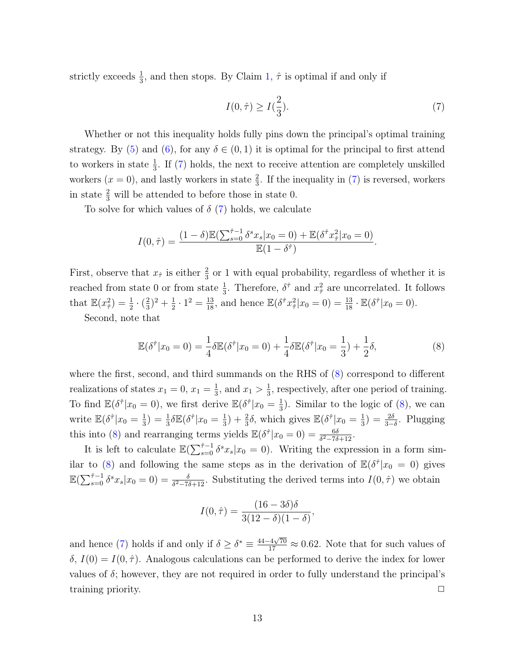strictly exceeds  $\frac{1}{3}$ , and then stops. By Claim [1,](#page-9-4)  $\hat{\tau}$  is optimal if and only if

<span id="page-13-0"></span>
$$
I(0,\hat{\tau}) \ge I(\frac{2}{3}).\tag{7}
$$

Whether or not this inequality holds fully pins down the principal's optimal training strategy. By [\(5\)](#page-12-0) and [\(6\)](#page-12-1), for any  $\delta \in (0,1)$  it is optimal for the principal to first attend to workers in state  $\frac{1}{3}$ . If [\(7\)](#page-13-0) holds, the next to receive attention are completely unskilled workers  $(x = 0)$ , and lastly workers in state  $\frac{2}{3}$ . If the inequality in [\(7\)](#page-13-0) is reversed, workers in state  $\frac{2}{3}$  will be attended to before those in state 0.

To solve for which values of  $\delta$  [\(7\)](#page-13-0) holds, we calculate

$$
I(0,\hat{\tau}) = \frac{(1-\delta)\mathbb{E}(\sum_{s=0}^{\hat{\tau}-1} \delta^s x_s | x_0 = 0) + \mathbb{E}(\delta^{\hat{\tau}} x_{\hat{\tau}}^2 | x_0 = 0)}{\mathbb{E}(1-\delta^{\hat{\tau}})}.
$$

First, observe that  $x_{\hat{\tau}}$  is either  $\frac{2}{3}$  or 1 with equal probability, regardless of whether it is reached from state 0 or from state  $\frac{1}{3}$ . Therefore,  $\delta^{\hat{\tau}}$  and  $x^2_{\hat{\tau}}$  are uncorrelated. It follows that  $\mathbb{E}(x_{\hat{\tau}}^2) = \frac{1}{2} \cdot (\frac{2}{3})$  $(\frac{2}{3})^2 + \frac{1}{2}$  $\frac{1}{2} \cdot 1^2 = \frac{13}{18}$ , and hence  $\mathbb{E}(\delta^{\hat{\tau}} x_{\hat{\tau}}^2 | x_0 = 0) = \frac{13}{18} \cdot \mathbb{E}(\delta^{\hat{\tau}} | x_0 = 0)$ .

Second, note that

<span id="page-13-1"></span>
$$
\mathbb{E}(\delta^{\hat{\tau}}|x_0=0) = \frac{1}{4}\delta \mathbb{E}(\delta^{\hat{\tau}}|x_0=0) + \frac{1}{4}\delta \mathbb{E}(\delta^{\hat{\tau}}|x_0=\frac{1}{3}) + \frac{1}{2}\delta,
$$
\n(8)

where the first, second, and third summands on the RHS of  $(8)$  correspond to different realizations of states  $x_1 = 0, x_1 = \frac{1}{3}$  $\frac{1}{3}$ , and  $x_1 > \frac{1}{3}$  $\frac{1}{3}$ , respectively, after one period of training. To find  $\mathbb{E}(\delta^{\hat{\tau}}|x_0=0)$ , we first derive  $\mathbb{E}(\delta^{\hat{\tau}}|x_0=\frac{1}{3})$  $\frac{1}{3}$ ). Similar to the logic of  $(8)$ , we can write  $\mathbb{E}(\delta^{\hat{\tau}}|x_0=\frac{1}{3})$  $\frac{1}{3}) = \frac{1}{3}\delta\mathbb{E}(\delta^{\hat{\tau}}|x_0=\frac{1}{3})$  $(\frac{1}{3}) + \frac{2}{3}\delta$ , which gives  $\mathbb{E}(\delta^{\hat{\tau}}|x_0 = \frac{1}{3})$  $(\frac{1}{3}) = \frac{2\delta}{3-\delta}$ . Plugging this into [\(8\)](#page-13-1) and rearranging terms yields  $\mathbb{E}(\delta^{\hat{\tau}}|x_0=0) = \frac{6\delta}{\delta^2 - 7\delta + 12}$ .

It is left to calculate  $\mathbb{E}(\sum_{s=0}^{\hat{\tau}-1} \delta^s x_s | x_0 = 0)$ . Writing the expression in a form sim-ilar to [\(8\)](#page-13-1) and following the same steps as in the derivation of  $\mathbb{E}(\delta^{\hat{\tau}}|x_0=0)$  gives  $\mathbb{E}(\sum_{s=0}^{\hat{\tau}-1} \delta^s x_s | x_0 = 0) = \frac{\delta}{\delta^2 - 7\delta + 12}$ . Substituting the derived terms into  $I(0,\hat{\tau})$  we obtain

$$
I(0, \hat{\tau}) = \frac{(16 - 3\delta)\delta}{3(12 - \delta)(1 - \delta)},
$$

and hence [\(7\)](#page-13-0) holds if and only if  $\delta \geq \delta^* \equiv \frac{44-4\sqrt{70}}{17} \approx 0.62$ . Note that for such values of  $\delta$ ,  $I(0) = I(0, \hat{\tau})$ . Analogous calculations can be performed to derive the index for lower values of  $\delta$ ; however, they are not required in order to fully understand the principal's training priority.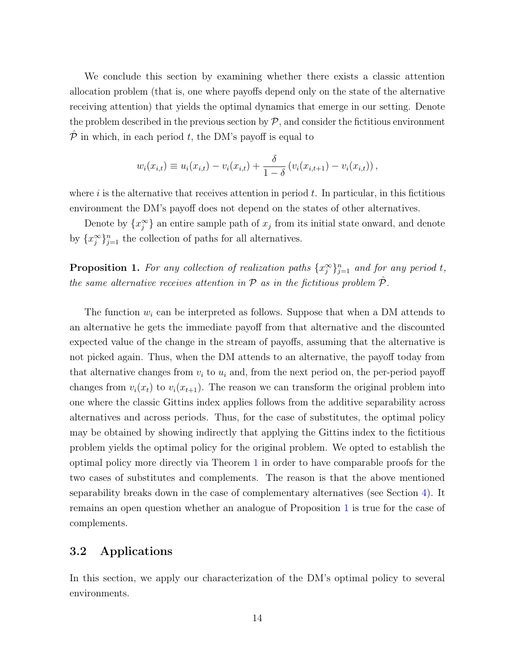We conclude this section by examining whether there exists a classic attention allocation problem (that is, one where payoffs depend only on the state of the alternative receiving attention) that yields the optimal dynamics that emerge in our setting. Denote the problem described in the previous section by  $P$ , and consider the fictitious environment  $\hat{\mathcal{P}}$  in which, in each period t, the DM's payoff is equal to

$$
w_i(x_{i,t}) \equiv u_i(x_{i,t}) - v_i(x_{i,t}) + \frac{\delta}{1-\delta} (v_i(x_{i,t+1}) - v_i(x_{i,t})),
$$

where  $i$  is the alternative that receives attention in period  $t$ . In particular, in this fictitious environment the DM's payoff does not depend on the states of other alternatives.

Denote by  $\{x_j^{\infty}\}\$ an entire sample path of  $x_j$  from its initial state onward, and denote by  $\{x_j^{\infty}\}_{j=1}^n$  the collection of paths for all alternatives.

<span id="page-14-1"></span>**Proposition 1.** For any collection of realization paths  $\{x_j^{\infty}\}_{j=1}^n$  and for any period t, the same alternative receives attention in  $P$  as in the fictitious problem  $\hat{P}$ .

The function  $w_i$  can be interpreted as follows. Suppose that when a DM attends to an alternative he gets the immediate payoff from that alternative and the discounted expected value of the change in the stream of payoffs, assuming that the alternative is not picked again. Thus, when the DM attends to an alternative, the payoff today from that alternative changes from  $v_i$  to  $u_i$  and, from the next period on, the per-period payoff changes from  $v_i(x_t)$  to  $v_i(x_{t+1})$ . The reason we can transform the original problem into one where the classic Gittins index applies follows from the additive separability across alternatives and across periods. Thus, for the case of substitutes, the optimal policy may be obtained by showing indirectly that applying the Gittins index to the fictitious problem yields the optimal policy for the original problem. We opted to establish the optimal policy more directly via Theorem [1](#page-10-1) in order to have comparable proofs for the two cases of substitutes and complements. The reason is that the above mentioned separability breaks down in the case of complementary alternatives (see Section [4\)](#page-21-0). It remains an open question whether an analogue of Proposition [1](#page-14-1) is true for the case of complements.

### <span id="page-14-0"></span>3.2 Applications

In this section, we apply our characterization of the DM's optimal policy to several environments.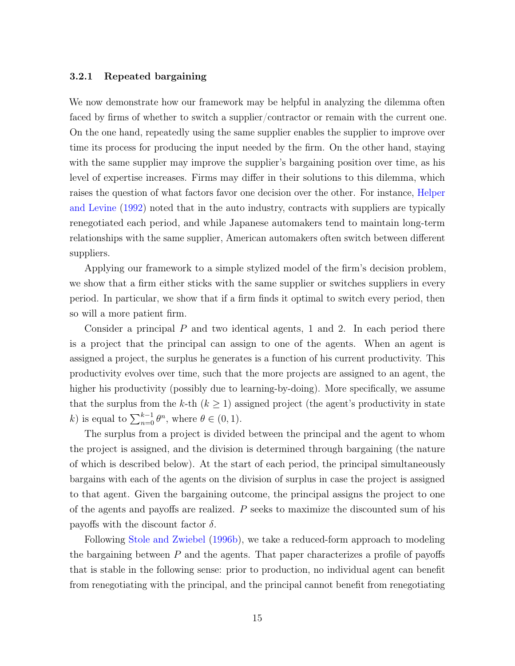#### 3.2.1 Repeated bargaining

We now demonstrate how our framework may be helpful in analyzing the dilemma often faced by firms of whether to switch a supplier/contractor or remain with the current one. On the one hand, repeatedly using the same supplier enables the supplier to improve over time its process for producing the input needed by the firm. On the other hand, staying with the same supplier may improve the supplier's bargaining position over time, as his level of expertise increases. Firms may differ in their solutions to this dilemma, which raises the question of what factors favor one decision over the other. For instance, [Helper](#page-33-9) [and Levine](#page-33-9) [\(1992\)](#page-33-9) noted that in the auto industry, contracts with suppliers are typically renegotiated each period, and while Japanese automakers tend to maintain long-term relationships with the same supplier, American automakers often switch between different suppliers.

Applying our framework to a simple stylized model of the firm's decision problem, we show that a firm either sticks with the same supplier or switches suppliers in every period. In particular, we show that if a firm finds it optimal to switch every period, then so will a more patient firm.

Consider a principal  $P$  and two identical agents, 1 and 2. In each period there is a project that the principal can assign to one of the agents. When an agent is assigned a project, the surplus he generates is a function of his current productivity. This productivity evolves over time, such that the more projects are assigned to an agent, the higher his productivity (possibly due to learning-by-doing). More specifically, we assume that the surplus from the k-th  $(k \geq 1)$  assigned project (the agent's productivity in state k) is equal to  $\sum_{n=0}^{k-1} \theta^n$ , where  $\theta \in (0, 1)$ .

The surplus from a project is divided between the principal and the agent to whom the project is assigned, and the division is determined through bargaining (the nature of which is described below). At the start of each period, the principal simultaneously bargains with each of the agents on the division of surplus in case the project is assigned to that agent. Given the bargaining outcome, the principal assigns the project to one of the agents and payoffs are realized. P seeks to maximize the discounted sum of his payoffs with the discount factor  $\delta$ .

Following [Stole and Zwiebel](#page-34-0) [\(1996b\)](#page-34-0), we take a reduced-form approach to modeling the bargaining between  $P$  and the agents. That paper characterizes a profile of payoffs that is stable in the following sense: prior to production, no individual agent can benefit from renegotiating with the principal, and the principal cannot benefit from renegotiating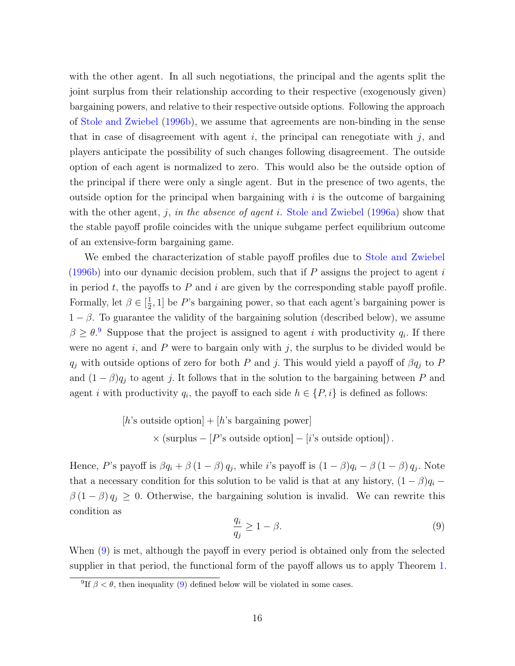with the other agent. In all such negotiations, the principal and the agents split the joint surplus from their relationship according to their respective (exogenously given) bargaining powers, and relative to their respective outside options. Following the approach of [Stole and Zwiebel](#page-34-0) [\(1996b\)](#page-34-0), we assume that agreements are non-binding in the sense that in case of disagreement with agent  $i$ , the principal can renegotiate with  $j$ , and players anticipate the possibility of such changes following disagreement. The outside option of each agent is normalized to zero. This would also be the outside option of the principal if there were only a single agent. But in the presence of two agents, the outside option for the principal when bargaining with  $i$  is the outcome of bargaining with the other agent, j, in the absence of agent i. [Stole and Zwiebel](#page-34-2)  $(1996a)$  show that the stable payoff profile coincides with the unique subgame perfect equilibrium outcome of an extensive-form bargaining game.

We embed the characterization of stable payoff profiles due to [Stole and Zwiebel](#page-34-0) [\(1996b\)](#page-34-0) into our dynamic decision problem, such that if  $P$  assigns the project to agent i in period  $t$ , the payoffs to  $P$  and  $i$  are given by the corresponding stable payoff profile. Formally, let  $\beta \in \left[\frac{1}{2}\right]$  $\frac{1}{2}$ , 1] be P's bargaining power, so that each agent's bargaining power is  $1 - \beta$ . To guarantee the validity of the bargaining solution (described below), we assume  $\beta \geq \theta$ . Suppose that the project is assigned to agent *i* with productivity  $q_i$ . If there were no agent  $i$ , and  $P$  were to bargain only with  $j$ , the surplus to be divided would be  $q_j$  with outside options of zero for both P and j. This would yield a payoff of  $\beta q_j$  to P and  $(1 - \beta)q_j$  to agent j. It follows that in the solution to the bargaining between P and agent *i* with productivity  $q_i$ , the payoff to each side  $h \in \{P, i\}$  is defined as follows:

[*h*'s outside option] + [*h*'s bargaining power]  

$$
\times
$$
 (surplus - [*P*'s outside option] - [*i*'s outside option]).

Hence, P's payoff is  $\beta q_i + \beta (1 - \beta) q_j$ , while i's payoff is  $(1 - \beta) q_i - \beta (1 - \beta) q_j$ . Note that a necessary condition for this solution to be valid is that at any history,  $(1 - \beta)q_i$  –  $\beta(1-\beta) q_j \geq 0$ . Otherwise, the bargaining solution is invalid. We can rewrite this condition as

<span id="page-16-1"></span>
$$
\frac{q_i}{q_j} \ge 1 - \beta. \tag{9}
$$

When [\(9\)](#page-16-1) is met, although the payoff in every period is obtained only from the selected supplier in that period, the functional form of the payoff allows us to apply Theorem [1.](#page-10-1)

<span id="page-16-0"></span><sup>&</sup>lt;sup>9</sup>If  $\beta < \theta$ , then inequality [\(9\)](#page-16-1) defined below will be violated in some cases.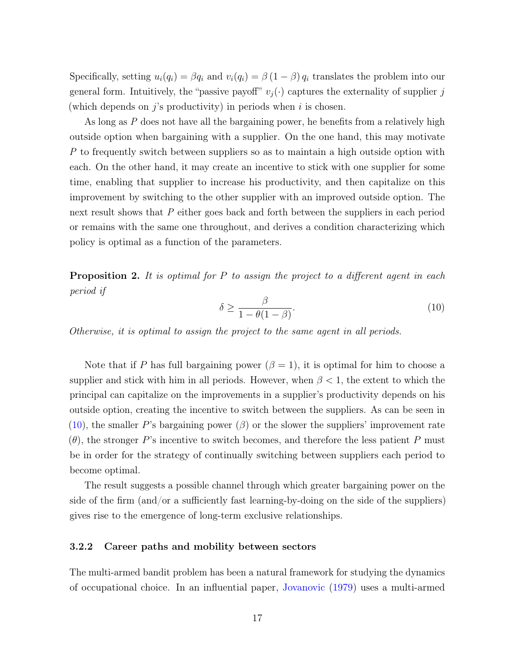Specifically, setting  $u_i(q_i) = \beta q_i$  and  $v_i(q_i) = \beta (1 - \beta) q_i$  translates the problem into our general form. Intuitively, the "passive payoff"  $v_j(\cdot)$  captures the externality of supplier j (which depends on  $j$ 's productivity) in periods when i is chosen.

As long as P does not have all the bargaining power, he benefits from a relatively high outside option when bargaining with a supplier. On the one hand, this may motivate P to frequently switch between suppliers so as to maintain a high outside option with each. On the other hand, it may create an incentive to stick with one supplier for some time, enabling that supplier to increase his productivity, and then capitalize on this improvement by switching to the other supplier with an improved outside option. The next result shows that P either goes back and forth between the suppliers in each period or remains with the same one throughout, and derives a condition characterizing which policy is optimal as a function of the parameters.

<span id="page-17-1"></span>**Proposition 2.** It is optimal for  $P$  to assign the project to a different agent in each period if

<span id="page-17-0"></span>
$$
\delta \ge \frac{\beta}{1 - \theta(1 - \beta)}.\tag{10}
$$

Otherwise, it is optimal to assign the project to the same agent in all periods.

Note that if P has full bargaining power  $(\beta = 1)$ , it is optimal for him to choose a supplier and stick with him in all periods. However, when  $\beta$  < 1, the extent to which the principal can capitalize on the improvements in a supplier's productivity depends on his outside option, creating the incentive to switch between the suppliers. As can be seen in [\(10\)](#page-17-0), the smaller P's bargaining power  $(\beta)$  or the slower the suppliers' improvement rate  $(\theta)$ , the stronger P's incentive to switch becomes, and therefore the less patient P must be in order for the strategy of continually switching between suppliers each period to become optimal.

The result suggests a possible channel through which greater bargaining power on the side of the firm (and/or a sufficiently fast learning-by-doing on the side of the suppliers) gives rise to the emergence of long-term exclusive relationships.

#### 3.2.2 Career paths and mobility between sectors

The multi-armed bandit problem has been a natural framework for studying the dynamics of occupational choice. In an influential paper, [Jovanovic](#page-33-0) [\(1979\)](#page-33-0) uses a multi-armed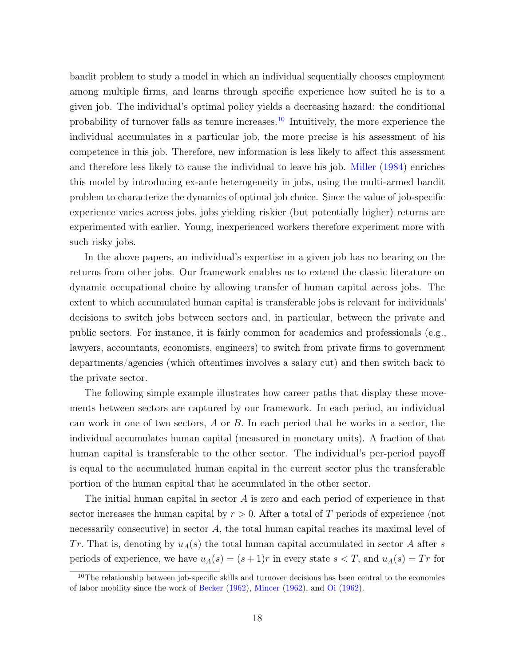bandit problem to study a model in which an individual sequentially chooses employment among multiple firms, and learns through specific experience how suited he is to a given job. The individual's optimal policy yields a decreasing hazard: the conditional probability of turnover falls as tenure increases.[10](#page-18-0) Intuitively, the more experience the individual accumulates in a particular job, the more precise is his assessment of his competence in this job. Therefore, new information is less likely to affect this assessment and therefore less likely to cause the individual to leave his job. [Miller](#page-33-1) [\(1984\)](#page-33-1) enriches this model by introducing ex-ante heterogeneity in jobs, using the multi-armed bandit problem to characterize the dynamics of optimal job choice. Since the value of job-specific experience varies across jobs, jobs yielding riskier (but potentially higher) returns are experimented with earlier. Young, inexperienced workers therefore experiment more with such risky jobs.

In the above papers, an individual's expertise in a given job has no bearing on the returns from other jobs. Our framework enables us to extend the classic literature on dynamic occupational choice by allowing transfer of human capital across jobs. The extent to which accumulated human capital is transferable jobs is relevant for individuals' decisions to switch jobs between sectors and, in particular, between the private and public sectors. For instance, it is fairly common for academics and professionals (e.g., lawyers, accountants, economists, engineers) to switch from private firms to government departments/agencies (which oftentimes involves a salary cut) and then switch back to the private sector.

The following simple example illustrates how career paths that display these movements between sectors are captured by our framework. In each period, an individual can work in one of two sectors,  $A$  or  $B$ . In each period that he works in a sector, the individual accumulates human capital (measured in monetary units). A fraction of that human capital is transferable to the other sector. The individual's per-period payoff is equal to the accumulated human capital in the current sector plus the transferable portion of the human capital that he accumulated in the other sector.

The initial human capital in sector  $A$  is zero and each period of experience in that sector increases the human capital by  $r > 0$ . After a total of T periods of experience (not necessarily consecutive) in sector  $A$ , the total human capital reaches its maximal level of Tr. That is, denoting by  $u_A(s)$  the total human capital accumulated in sector A after s periods of experience, we have  $u_A(s) = (s+1)r$  in every state  $s < T$ , and  $u_A(s) = Tr$  for

<span id="page-18-0"></span><sup>&</sup>lt;sup>10</sup>The relationship between job-specific skills and turnover decisions has been central to the economics of labor mobility since the work of [Becker](#page-31-1) [\(1962\)](#page-31-1), [Mincer](#page-33-10) [\(1962\)](#page-33-10), and [Oi](#page-33-11) [\(1962\)](#page-33-11).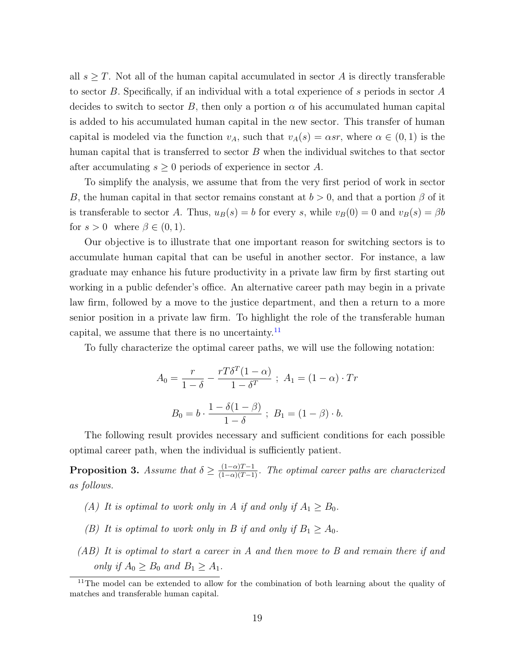all  $s \geq T$ . Not all of the human capital accumulated in sector A is directly transferable to sector B. Specifically, if an individual with a total experience of s periods in sector A decides to switch to sector B, then only a portion  $\alpha$  of his accumulated human capital is added to his accumulated human capital in the new sector. This transfer of human capital is modeled via the function  $v_A$ , such that  $v_A(s) = \alpha s r$ , where  $\alpha \in (0,1)$  is the human capital that is transferred to sector  $B$  when the individual switches to that sector after accumulating  $s \geq 0$  periods of experience in sector A.

To simplify the analysis, we assume that from the very first period of work in sector B, the human capital in that sector remains constant at  $b > 0$ , and that a portion  $\beta$  of it is transferable to sector A. Thus,  $u_B(s) = b$  for every s, while  $v_B(0) = 0$  and  $v_B(s) = \beta b$ for  $s > 0$  where  $\beta \in (0, 1)$ .

Our objective is to illustrate that one important reason for switching sectors is to accumulate human capital that can be useful in another sector. For instance, a law graduate may enhance his future productivity in a private law firm by first starting out working in a public defender's office. An alternative career path may begin in a private law firm, followed by a move to the justice department, and then a return to a more senior position in a private law firm. To highlight the role of the transferable human capital, we assume that there is no uncertainty. $^{11}$  $^{11}$  $^{11}$ 

To fully characterize the optimal career paths, we will use the following notation:

$$
A_0 = \frac{r}{1-\delta} - \frac{rT\delta^T(1-\alpha)}{1-\delta^T} \; ; \; A_1 = (1-\alpha) \cdot Tr
$$

$$
B_0 = b \cdot \frac{1-\delta(1-\beta)}{1-\delta} \; ; \; B_1 = (1-\beta) \cdot b.
$$

The following result provides necessary and sufficient conditions for each possible optimal career path, when the individual is sufficiently patient.

<span id="page-19-1"></span>**Proposition 3.** Assume that  $\delta \geq \frac{(1-\alpha)T-1}{(1-\alpha)(T-1)}$ . The optimal career paths are characterized as follows.

- (A) It is optimal to work only in A if and only if  $A_1 \geq B_0$ .
- (B) It is optimal to work only in B if and only if  $B_1 \geq A_0$ .
- (AB) It is optimal to start a career in A and then move to B and remain there if and only if  $A_0 \geq B_0$  and  $B_1 \geq A_1$ .

<span id="page-19-0"></span><sup>&</sup>lt;sup>11</sup>The model can be extended to allow for the combination of both learning about the quality of matches and transferable human capital.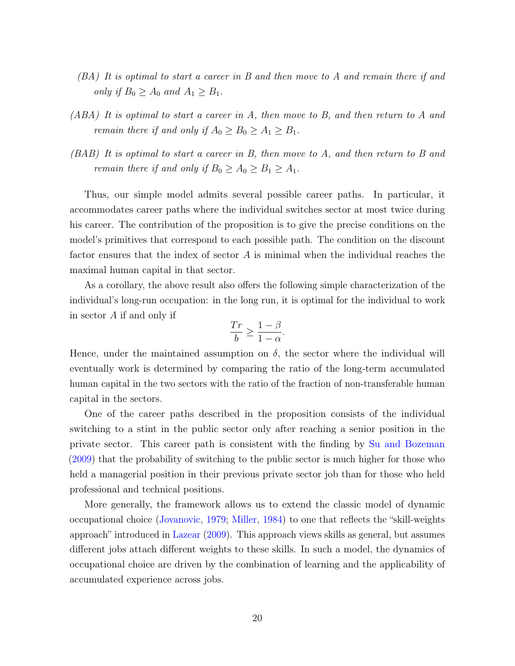- (BA) It is optimal to start a career in B and then move to A and remain there if and only if  $B_0 \geq A_0$  and  $A_1 \geq B_1$ .
- (ABA) It is optimal to start a career in A, then move to B, and then return to A and remain there if and only if  $A_0 \ge B_0 \ge A_1 \ge B_1$ .
- (BAB) It is optimal to start a career in B, then move to A, and then return to B and remain there if and only if  $B_0 \ge A_0 \ge B_1 \ge A_1$ .

Thus, our simple model admits several possible career paths. In particular, it accommodates career paths where the individual switches sector at most twice during his career. The contribution of the proposition is to give the precise conditions on the model's primitives that correspond to each possible path. The condition on the discount factor ensures that the index of sector  $A$  is minimal when the individual reaches the maximal human capital in that sector.

As a corollary, the above result also offers the following simple characterization of the individual's long-run occupation: in the long run, it is optimal for the individual to work in sector A if and only if

$$
\frac{Tr}{b} \ge \frac{1-\beta}{1-\alpha}.
$$

Hence, under the maintained assumption on  $\delta$ , the sector where the individual will eventually work is determined by comparing the ratio of the long-term accumulated human capital in the two sectors with the ratio of the fraction of non-transferable human capital in the sectors.

One of the career paths described in the proposition consists of the individual switching to a stint in the public sector only after reaching a senior position in the private sector. This career path is consistent with the finding by [Su and Bozeman](#page-34-3) [\(2009\)](#page-34-3) that the probability of switching to the public sector is much higher for those who held a managerial position in their previous private sector job than for those who held professional and technical positions.

More generally, the framework allows us to extend the classic model of dynamic occupational choice [\(Jovanovic,](#page-33-0) [1979;](#page-33-0) [Miller,](#page-33-1) [1984\)](#page-33-1) to one that reflects the "skill-weights approach" introduced in [Lazear](#page-33-12) [\(2009\)](#page-33-12). This approach views skills as general, but assumes different jobs attach different weights to these skills. In such a model, the dynamics of occupational choice are driven by the combination of learning and the applicability of accumulated experience across jobs.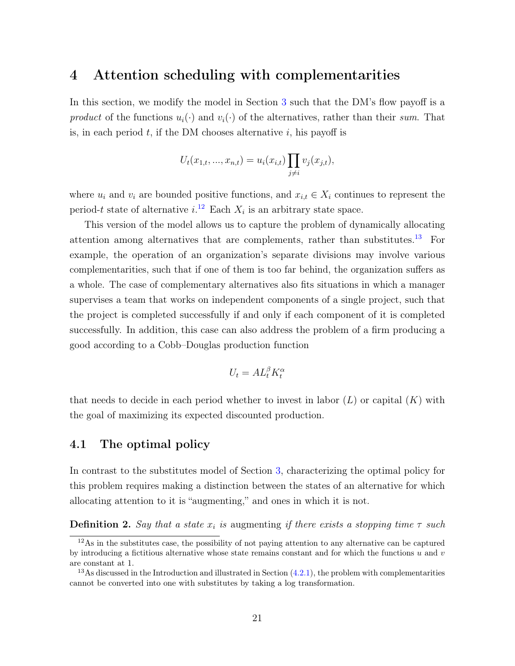## <span id="page-21-0"></span>4 Attention scheduling with complementarities

In this section, we modify the model in Section [3](#page-7-0) such that the DM's flow payoff is a product of the functions  $u_i(\cdot)$  and  $v_i(\cdot)$  of the alternatives, rather than their sum. That is, in each period  $t$ , if the DM chooses alternative  $i$ , his payoff is

$$
U_t(x_{1,t},...,x_{n,t}) = u_i(x_{i,t}) \prod_{j \neq i} v_j(x_{j,t}),
$$

where  $u_i$  and  $v_i$  are bounded positive functions, and  $x_{i,t} \in X_i$  continues to represent the period-t state of alternative  $i^{12}$  $i^{12}$  $i^{12}$  Each  $X_i$  is an arbitrary state space.

This version of the model allows us to capture the problem of dynamically allocating attention among alternatives that are complements, rather than substitutes.[13](#page-21-3) For example, the operation of an organization's separate divisions may involve various complementarities, such that if one of them is too far behind, the organization suffers as a whole. The case of complementary alternatives also fits situations in which a manager supervises a team that works on independent components of a single project, such that the project is completed successfully if and only if each component of it is completed successfully. In addition, this case can also address the problem of a firm producing a good according to a Cobb–Douglas production function

$$
U_t = A L_t^{\beta} K_t^{\alpha}
$$

that needs to decide in each period whether to invest in labor  $(L)$  or capital  $(K)$  with the goal of maximizing its expected discounted production.

### <span id="page-21-1"></span>4.1 The optimal policy

In contrast to the substitutes model of Section [3,](#page-7-0) characterizing the optimal policy for this problem requires making a distinction between the states of an alternative for which allocating attention to it is "augmenting," and ones in which it is not.

**Definition 2.** Say that a state  $x_i$  is augmenting if there exists a stopping time  $\tau$  such

<span id="page-21-2"></span> $12\text{As}$  in the substitutes case, the possibility of not paying attention to any alternative can be captured by introducing a fictitious alternative whose state remains constant and for which the functions  $u$  and  $v$ are constant at 1.

<span id="page-21-3"></span><sup>&</sup>lt;sup>13</sup>As discussed in the Introduction and illustrated in Section  $(4.2.1)$ , the problem with complementarities cannot be converted into one with substitutes by taking a log transformation.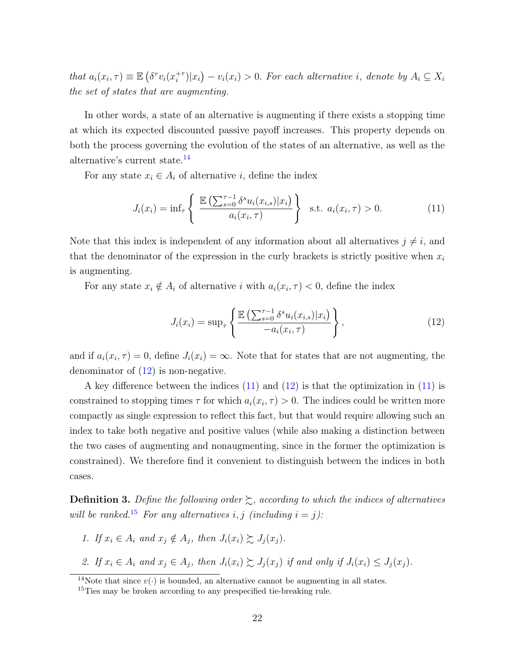that  $a_i(x_i, \tau) \equiv \mathbb{E} \left( \delta^\tau v_i(x_i^{+\tau}) \right)$  $\sum_{i=1}^{+\tau} |x_i\rangle - v_i(x_i) > 0$ . For each alternative i, denote by  $A_i \subseteq X_i$ the set of states that are augmenting.

In other words, a state of an alternative is augmenting if there exists a stopping time at which its expected discounted passive payoff increases. This property depends on both the process governing the evolution of the states of an alternative, as well as the alternative's current state.[14](#page-22-0)

For any state  $x_i \in A_i$  of alternative i, define the index

$$
J_i(x_i) = \inf_{\tau} \left\{ \frac{\mathbb{E}\left(\sum_{s=0}^{\tau-1} \delta^s u_i(x_{i,s}) | x_i\right)}{a_i(x_i, \tau)} \right\} \text{ s.t. } a_i(x_i, \tau) > 0. \tag{11}
$$

Note that this index is independent of any information about all alternatives  $j \neq i$ , and that the denominator of the expression in the curly brackets is strictly positive when  $x_i$ is augmenting.

For any state  $x_i \notin A_i$  of alternative i with  $a_i(x_i, \tau) < 0$ , define the index

<span id="page-22-2"></span><span id="page-22-1"></span>
$$
J_i(x_i) = \sup_{\tau} \left\{ \frac{\mathbb{E}\left( \sum_{s=0}^{\tau-1} \delta^s u_i(x_{i,s}) | x_i \right)}{-a_i(x_i, \tau)} \right\},\tag{12}
$$

and if  $a_i(x_i, \tau) = 0$ , define  $J_i(x_i) = \infty$ . Note that for states that are not augmenting, the denominator of  $(12)$  is non-negative.

A key difference between the indices [\(11\)](#page-22-2) and [\(12\)](#page-22-1) is that the optimization in [\(11\)](#page-22-2) is constrained to stopping times  $\tau$  for which  $a_i(x_i, \tau) > 0$ . The indices could be written more compactly as single expression to reflect this fact, but that would require allowing such an index to take both negative and positive values (while also making a distinction between the two cases of augmenting and nonaugmenting, since in the former the optimization is constrained). We therefore find it convenient to distinguish between the indices in both cases.

**Definition 3.** Define the following order  $\succsim$ , according to which the indices of alternatives will be ranked.<sup>[15](#page-22-3)</sup> For any alternatives i, j (including  $i = j$ ):

- 1. If  $x_i \in A_i$  and  $x_j \notin A_j$ , then  $J_i(x_i) \succsim J_j(x_j)$ .
- 2. If  $x_i \in A_i$  and  $x_j \in A_j$ , then  $J_i(x_i) \succsim J_j(x_j)$  if and only if  $J_i(x_i) \leq J_j(x_j)$ .

<span id="page-22-0"></span><sup>&</sup>lt;sup>14</sup>Note that since  $v(\cdot)$  is bounded, an alternative cannot be augmenting in all states.

<span id="page-22-3"></span><sup>&</sup>lt;sup>15</sup>Ties may be broken according to any prespecified tie-breaking rule.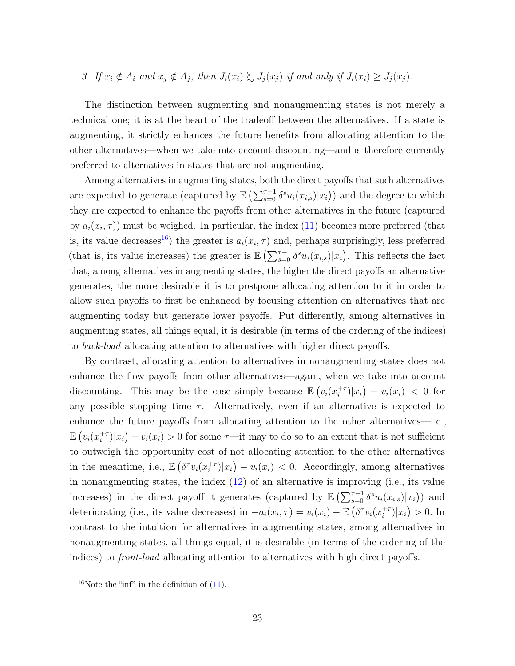3. If  $x_i \notin A_i$  and  $x_j \notin A_j$ , then  $J_i(x_i) \succsim J_j(x_j)$  if and only if  $J_i(x_i) \geq J_j(x_j)$ .

The distinction between augmenting and nonaugmenting states is not merely a technical one; it is at the heart of the tradeoff between the alternatives. If a state is augmenting, it strictly enhances the future benefits from allocating attention to the other alternatives—when we take into account discounting—and is therefore currently preferred to alternatives in states that are not augmenting.

Among alternatives in augmenting states, both the direct payoffs that such alternatives are expected to generate (captured by  $\mathbb{E}\left(\sum_{s=0}^{\tau-1} \delta^s u_i(x_{i,s})|x_i\right)$ ) and the degree to which they are expected to enhance the payoffs from other alternatives in the future (captured by  $a_i(x_i, \tau)$ ) must be weighed. In particular, the index [\(11\)](#page-22-2) becomes more preferred (that is, its value decreases<sup>[16](#page-23-0)</sup>) the greater is  $a_i(x_i, \tau)$  and, perhaps surprisingly, less preferred (that is, its value increases) the greater is  $\mathbb{E}\left(\sum_{s=0}^{\tau-1} \delta^s u_i(x_{i,s})|x_i\right)$ . This reflects the fact that, among alternatives in augmenting states, the higher the direct payoffs an alternative generates, the more desirable it is to postpone allocating attention to it in order to allow such payoffs to first be enhanced by focusing attention on alternatives that are augmenting today but generate lower payoffs. Put differently, among alternatives in augmenting states, all things equal, it is desirable (in terms of the ordering of the indices) to back-load allocating attention to alternatives with higher direct payoffs.

By contrast, allocating attention to alternatives in nonaugmenting states does not enhance the flow payoffs from other alternatives—again, when we take into account discounting. This may be the case simply because  $\mathbb{E}\left(v_i(x_i^{+t})\right)$  $\int_{i}^{+\tau}$ )| $x_i$ ) –  $v_i(x_i)$  < 0 for any possible stopping time  $\tau$ . Alternatively, even if an alternative is expected to enhance the future payoffs from allocating attention to the other alternatives—i.e.,  $\mathbb{E}\left(v_i(x_i^{+\tau})\right)$  $\langle i^{+ \tau} \rangle | x_i \rangle - v_i(x_i) > 0$  for some  $\tau$ —it may to do so to an extent that is not sufficient to outweigh the opportunity cost of not allocating attention to the other alternatives in the meantime, i.e.,  $\mathbb{E} \left( \delta^{\tau} v_i(x_i^{+ \tau}) \right)$  $\binom{+\tau}{i}|x_i\rangle - v_i(x_i) < 0.$  Accordingly, among alternatives in nonaugmenting states, the index  $(12)$  of an alternative is improving (i.e., its value increases) in the direct payoff it generates (captured by  $\mathbb{E} \left( \sum_{s=0}^{\tau-1} \delta^s u_i(x_{i,s}) | x_i \right)$  and deteriorating (i.e., its value decreases) in  $-a_i(x_i, \tau) = v_i(x_i) - \mathbb{E} \left( \delta^{\tau} v_i(x_i^{+ \tau}) \right)$  $_{i}^{+\tau})|x_{i}\rangle > 0.$  In contrast to the intuition for alternatives in augmenting states, among alternatives in nonaugmenting states, all things equal, it is desirable (in terms of the ordering of the indices) to front-load allocating attention to alternatives with high direct payoffs.

<span id="page-23-0"></span><sup>&</sup>lt;sup>16</sup>Note the "inf" in the definition of  $(11)$ .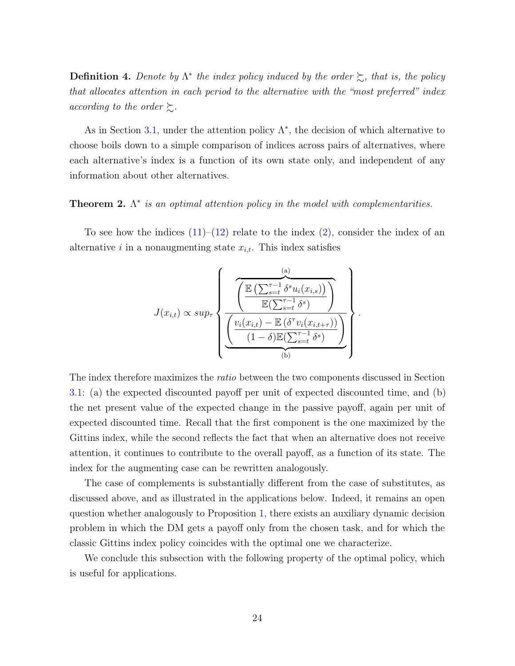**Definition 4.** Denote by  $\Lambda^*$  the index policy induced by the order  $\succsim$ , that is, the policy that allocates attention in each period to the alternative with the "most preferred" index according to the order  $\succsim$ .

As in Section [3.1,](#page-8-0) under the attention policy  $\Lambda^*$ , the decision of which alternative to choose boils down to a simple comparison of indices across pairs of alternatives, where each alternative's index is a function of its own state only, and independent of any information about other alternatives.

### <span id="page-24-0"></span>**Theorem 2.**  $\Lambda^*$  is an optimal attention policy in the model with complementarities.

To see how the indices  $(11)$ – $(12)$  relate to the index  $(2)$ , consider the index of an alternative *i* in a nonaugmenting state  $x_{i,t}$ . This index satisfies

$$
J(x_{i,t}) \propto sup_{\tau} \left\{ \frac{\frac{\left(\sum_{s=t}^{\tau-1} \delta^s u_i(x_{i,s})\right)}{\mathbb{E}(\sum_{s=t}^{\tau-1} \delta^s)}\right\}}{\frac{\left(\frac{v_i(x_{i,t}) - \mathbb{E}(\delta^{\tau} v_i(x_{i,t+\tau}))}{\delta^s}\right)}{\left(\frac{v_i(x_{i,t}) - \mathbb{E}(\sum_{s=t}^{\tau-1} \delta^s)}{\delta^s}\right)}}\right\}.
$$

The index therefore maximizes the *ratio* between the two components discussed in Section [3.1:](#page-8-0) (a) the expected discounted payoff per unit of expected discounted time, and (b) the net present value of the expected change in the passive payoff, again per unit of expected discounted time. Recall that the first component is the one maximized by the Gittins index, while the second reflects the fact that when an alternative does not receive attention, it continues to contribute to the overall payoff, as a function of its state. The index for the augmenting case can be rewritten analogously.

The case of complements is substantially different from the case of substitutes, as discussed above, and as illustrated in the applications below. Indeed, it remains an open question whether analogously to Proposition [1,](#page-14-1) there exists an auxiliary dynamic decision problem in which the DM gets a payoff only from the chosen task, and for which the classic Gittins index policy coincides with the optimal one we characterize.

We conclude this subsection with the following property of the optimal policy, which is useful for applications.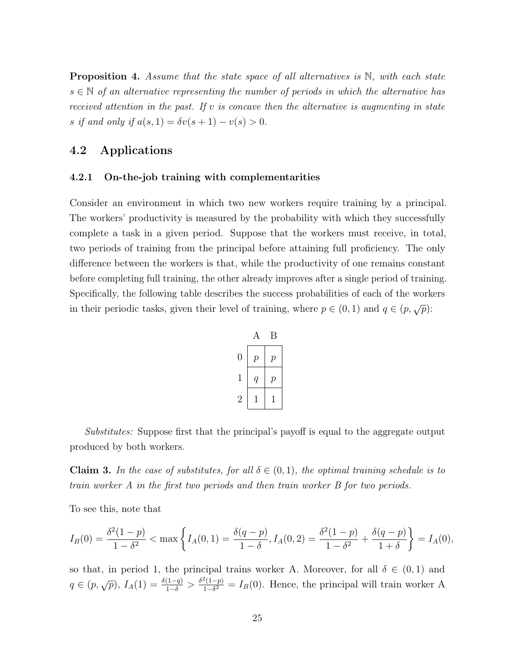<span id="page-25-3"></span>**Proposition 4.** Assume that the state space of all alternatives is  $\mathbb{N}$ , with each state  $s \in \mathbb{N}$  of an alternative representing the number of periods in which the alternative has received attention in the past. If v is concave then the alternative is augmenting in state s if and only if  $a(s, 1) = \delta v(s + 1) - v(s) > 0$ .

### <span id="page-25-0"></span>4.2 Applications

#### <span id="page-25-1"></span>4.2.1 On-the-job training with complementarities

Consider an environment in which two new workers require training by a principal. The workers' productivity is measured by the probability with which they successfully complete a task in a given period. Suppose that the workers must receive, in total, two periods of training from the principal before attaining full proficiency. The only difference between the workers is that, while the productivity of one remains constant before completing full training, the other already improves after a single period of training. Specifically, the following table describes the success probabilities of each of the workers in their periodic tasks, given their level of training, where  $p \in (0, 1)$  and  $q \in (p, \sqrt{p})$ :

|                |                  | Β                |
|----------------|------------------|------------------|
| $\overline{0}$ | $\overline{p}$   | $\boldsymbol{p}$ |
| 1              | $\scriptstyle q$ | $\boldsymbol{p}$ |
| 2              |                  |                  |

Substitutes: Suppose first that the principal's payoff is equal to the aggregate output produced by both workers.

<span id="page-25-2"></span>**Claim 3.** In the case of substitutes, for all  $\delta \in (0,1)$ , the optimal training schedule is to train worker A in the first two periods and then train worker B for two periods.

To see this, note that

$$
I_B(0) = \frac{\delta^2(1-p)}{1-\delta^2} < \max\left\{I_A(0,1) = \frac{\delta(q-p)}{1-\delta}, I_A(0,2) = \frac{\delta^2(1-p)}{1-\delta^2} + \frac{\delta(q-p)}{1+\delta}\right\} = I_A(0),
$$

so that, in period 1, the principal trains worker A. Moreover, for all  $\delta \in (0,1)$  and  $q \in (p, \sqrt{p}), I_A(1) = \frac{\delta(1-q)}{1-\delta} > \frac{\delta^2(1-p)}{1-\delta^2}$  $\frac{\mathcal{L}(1-p)}{1-\delta^2} = I_B(0)$ . Hence, the principal will train worker A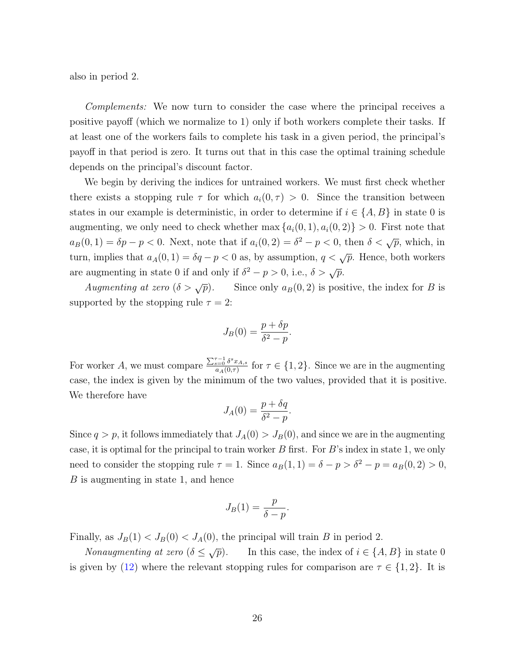also in period 2.

Complements: We now turn to consider the case where the principal receives a positive payoff (which we normalize to 1) only if both workers complete their tasks. If at least one of the workers fails to complete his task in a given period, the principal's payoff in that period is zero. It turns out that in this case the optimal training schedule depends on the principal's discount factor.

We begin by deriving the indices for untrained workers. We must first check whether there exists a stopping rule  $\tau$  for which  $a_i(0, \tau) > 0$ . Since the transition between states in our example is deterministic, in order to determine if  $i \in \{A, B\}$  in state 0 is augmenting, we only need to check whether max  $\{a_i(0, 1), a_i(0, 2)\} > 0$ . First note that  $a_B(0, 1) = \delta p - p < 0$ . Next, note that if  $a_i(0, 2) = \delta^2 - p < 0$ , then  $\delta < \sqrt{p}$ , which, in turn, implies that  $a_A(0, 1) = \delta q - p < 0$  as, by assumption,  $q < \sqrt{p}$ . Hence, both workers are augmenting in state 0 if and only if  $\delta^2 - p > 0$ , i.e.,  $\delta > \sqrt{p}$ .

Augmenting at zero  $(\delta > \sqrt{p})$ . Since only  $a_B(0, 2)$  is positive, the index for B is supported by the stopping rule  $\tau = 2$ :

$$
J_B(0) = \frac{p + \delta p}{\delta^2 - p}.
$$

For worker A, we must compare  $\frac{\sum_{s=0}^{\tau-1} \delta^s x_{A,s}}{a_s(0,\tau)}$  $\frac{\sum_{s=0}^{\infty} \sigma^x x_{A,s}}{a_A(0,\tau)}$  for  $\tau \in \{1,2\}$ . Since we are in the augmenting case, the index is given by the minimum of the two values, provided that it is positive. We therefore have

$$
J_A(0) = \frac{p + \delta q}{\delta^2 - p}.
$$

Since  $q > p$ , it follows immediately that  $J_A(0) > J_B(0)$ , and since we are in the augmenting case, it is optimal for the principal to train worker  $B$  first. For  $B$ 's index in state 1, we only need to consider the stopping rule  $\tau = 1$ . Since  $a_B(1, 1) = \delta - p > \delta^2 - p = a_B(0, 2) > 0$ , B is augmenting in state 1, and hence

$$
J_B(1) = \frac{p}{\delta - p}.
$$

Finally, as  $J_B(1) < J_B(0) < J_A(0)$ , the principal will train B in period 2.

Nonaugmenting at zero  $(\delta \leq \sqrt{p})$ . In this case, the index of  $i \in \{A, B\}$  in state 0 is given by [\(12\)](#page-22-1) where the relevant stopping rules for comparison are  $\tau \in \{1,2\}$ . It is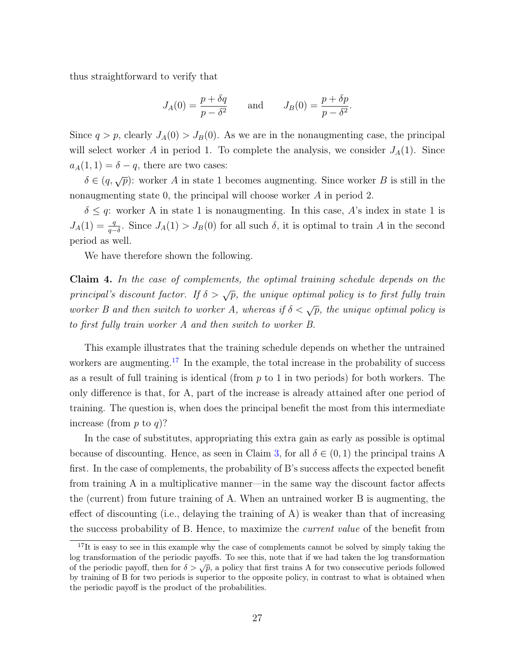thus straightforward to verify that

$$
J_A(0) = \frac{p + \delta q}{p - \delta^2} \quad \text{and} \quad J_B(0) = \frac{p + \delta p}{p - \delta^2}
$$

.

Since  $q > p$ , clearly  $J_A(0) > J_B(0)$ . As we are in the nonaugmenting case, the principal will select worker A in period 1. To complete the analysis, we consider  $J_A(1)$ . Since  $a_A(1, 1) = \delta - q$ , there are two cases:

 $\delta \in (q, \sqrt{p})$ : worker A in state 1 becomes augmenting. Since worker B is still in the nonaugmenting state 0, the principal will choose worker A in period 2.

 $\delta \leq q$ : worker A in state 1 is nonaugmenting. In this case, A's index in state 1 is  $J_A(1) = \frac{q}{q-\delta}$ . Since  $J_A(1) > J_B(0)$  for all such  $\delta$ , it is optimal to train A in the second period as well.

We have therefore shown the following.

Claim 4. In the case of complements, the optimal training schedule depends on the principal's discount factor. If  $\delta > \sqrt{p}$ , the unique optimal policy is to first fully train worker B and then switch to worker A, whereas if  $\delta < \sqrt{p}$ , the unique optimal policy is to first fully train worker A and then switch to worker B.

This example illustrates that the training schedule depends on whether the untrained workers are augmenting.<sup>[17](#page-27-0)</sup> In the example, the total increase in the probability of success as a result of full training is identical (from  $p$  to 1 in two periods) for both workers. The only difference is that, for A, part of the increase is already attained after one period of training. The question is, when does the principal benefit the most from this intermediate increase (from  $p$  to  $q$ )?

In the case of substitutes, appropriating this extra gain as early as possible is optimal because of discounting. Hence, as seen in Claim [3,](#page-25-2) for all  $\delta \in (0,1)$  the principal trains A first. In the case of complements, the probability of B's success affects the expected benefit from training A in a multiplicative manner—in the same way the discount factor affects the (current) from future training of A. When an untrained worker B is augmenting, the effect of discounting (i.e., delaying the training of A) is weaker than that of increasing the success probability of B. Hence, to maximize the current value of the benefit from

<span id="page-27-0"></span><sup>&</sup>lt;sup>17</sup>It is easy to see in this example why the case of complements cannot be solved by simply taking the log transformation of the periodic payoffs. To see this, note that if we had taken the log transformation of the periodic payoff, then for  $\delta > \sqrt{p}$ , a policy that first trains A for two consecutive periods followed by training of B for two periods is superior to the opposite policy, in contrast to what is obtained when the periodic payoff is the product of the probabilities.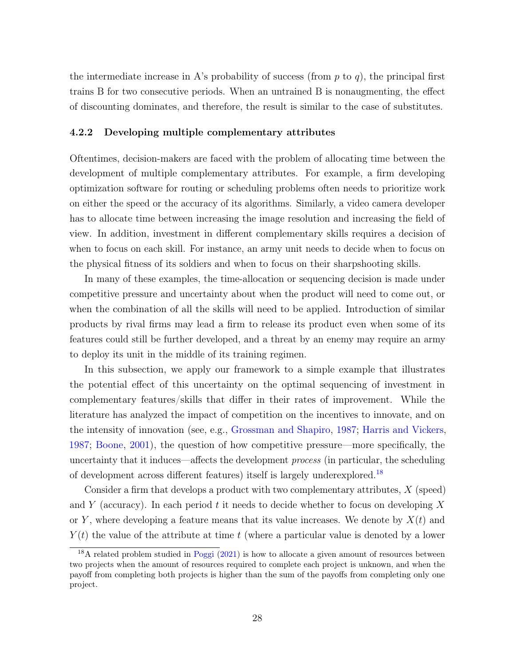the intermediate increase in A's probability of success (from  $p$  to  $q$ ), the principal first trains B for two consecutive periods. When an untrained B is nonaugmenting, the effect of discounting dominates, and therefore, the result is similar to the case of substitutes.

#### 4.2.2 Developing multiple complementary attributes

Oftentimes, decision-makers are faced with the problem of allocating time between the development of multiple complementary attributes. For example, a firm developing optimization software for routing or scheduling problems often needs to prioritize work on either the speed or the accuracy of its algorithms. Similarly, a video camera developer has to allocate time between increasing the image resolution and increasing the field of view. In addition, investment in different complementary skills requires a decision of when to focus on each skill. For instance, an army unit needs to decide when to focus on the physical fitness of its soldiers and when to focus on their sharpshooting skills.

In many of these examples, the time-allocation or sequencing decision is made under competitive pressure and uncertainty about when the product will need to come out, or when the combination of all the skills will need to be applied. Introduction of similar products by rival firms may lead a firm to release its product even when some of its features could still be further developed, and a threat by an enemy may require an army to deploy its unit in the middle of its training regimen.

In this subsection, we apply our framework to a simple example that illustrates the potential effect of this uncertainty on the optimal sequencing of investment in complementary features/skills that differ in their rates of improvement. While the literature has analyzed the impact of competition on the incentives to innovate, and on the intensity of innovation (see, e.g., [Grossman and Shapiro,](#page-32-10) [1987;](#page-32-10) [Harris and Vickers,](#page-32-11) [1987;](#page-32-11) [Boone,](#page-32-12) [2001\)](#page-32-12), the question of how competitive pressure—more specifically, the uncertainty that it induces—affects the development process (in particular, the scheduling of development across different features) itself is largely underexplored.[18](#page-28-0)

Consider a firm that develops a product with two complementary attributes, X (speed) and Y (accuracy). In each period t it needs to decide whether to focus on developing X or Y, where developing a feature means that its value increases. We denote by  $X(t)$  and  $Y(t)$  the value of the attribute at time t (where a particular value is denoted by a lower

<span id="page-28-0"></span><sup>&</sup>lt;sup>18</sup>A related problem studied in [Poggi](#page-33-13) [\(2021\)](#page-33-13) is how to allocate a given amount of resources between two projects when the amount of resources required to complete each project is unknown, and when the payoff from completing both projects is higher than the sum of the payoffs from completing only one project.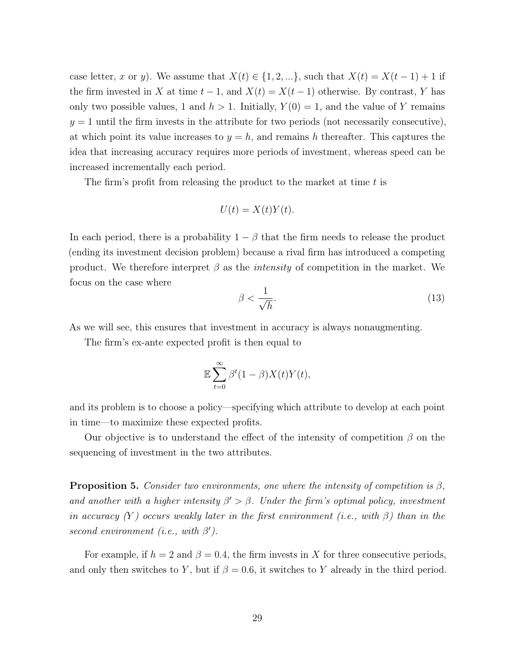case letter, x or y). We assume that  $X(t) \in \{1, 2, ...\}$ , such that  $X(t) = X(t-1) + 1$  if the firm invested in X at time  $t - 1$ , and  $X(t) = X(t - 1)$  otherwise. By contrast, Y has only two possible values, 1 and  $h > 1$ . Initially,  $Y(0) = 1$ , and the value of Y remains  $y = 1$  until the firm invests in the attribute for two periods (not necessarily consecutive), at which point its value increases to  $y = h$ , and remains h thereafter. This captures the idea that increasing accuracy requires more periods of investment, whereas speed can be increased incrementally each period.

The firm's profit from releasing the product to the market at time  $t$  is

$$
U(t) = X(t)Y(t).
$$

In each period, there is a probability  $1 - \beta$  that the firm needs to release the product (ending its investment decision problem) because a rival firm has introduced a competing product. We therefore interpret  $\beta$  as the *intensity* of competition in the market. We focus on the case where

<span id="page-29-1"></span>
$$
\beta < \frac{1}{\sqrt{h}}.\tag{13}
$$

As we will see, this ensures that investment in accuracy is always nonaugmenting.

The firm's ex-ante expected profit is then equal to

$$
\mathbb{E}\sum_{t=0}^{\infty}\beta^t(1-\beta)X(t)Y(t),
$$

and its problem is to choose a policy—specifying which attribute to develop at each point in time—to maximize these expected profits.

Our objective is to understand the effect of the intensity of competition  $\beta$  on the sequencing of investment in the two attributes.

<span id="page-29-0"></span>**Proposition 5.** Consider two environments, one where the intensity of competition is  $\beta$ , and another with a higher intensity  $\beta' > \beta$ . Under the firm's optimal policy, investment in accuracy  $(Y)$  occurs weakly later in the first environment (i.e., with  $\beta$ ) than in the second environment (i.e., with  $\beta'$ ).

For example, if  $h = 2$  and  $\beta = 0.4$ , the firm invests in X for three consecutive periods, and only then switches to Y, but if  $\beta = 0.6$ , it switches to Y already in the third period.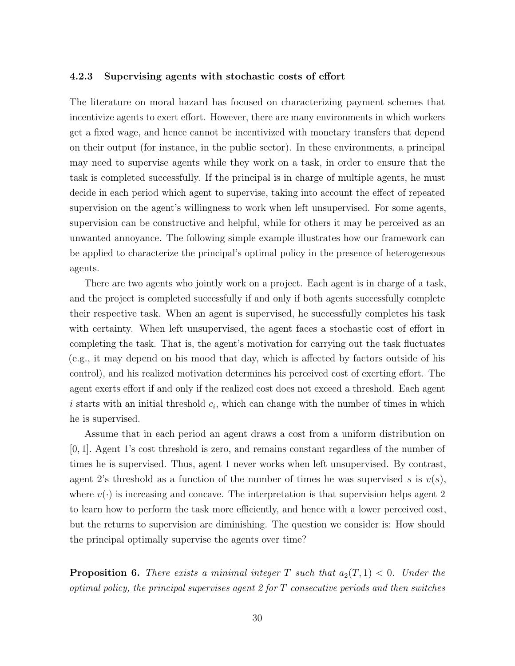#### 4.2.3 Supervising agents with stochastic costs of effort

The literature on moral hazard has focused on characterizing payment schemes that incentivize agents to exert effort. However, there are many environments in which workers get a fixed wage, and hence cannot be incentivized with monetary transfers that depend on their output (for instance, in the public sector). In these environments, a principal may need to supervise agents while they work on a task, in order to ensure that the task is completed successfully. If the principal is in charge of multiple agents, he must decide in each period which agent to supervise, taking into account the effect of repeated supervision on the agent's willingness to work when left unsupervised. For some agents, supervision can be constructive and helpful, while for others it may be perceived as an unwanted annoyance. The following simple example illustrates how our framework can be applied to characterize the principal's optimal policy in the presence of heterogeneous agents.

There are two agents who jointly work on a project. Each agent is in charge of a task, and the project is completed successfully if and only if both agents successfully complete their respective task. When an agent is supervised, he successfully completes his task with certainty. When left unsupervised, the agent faces a stochastic cost of effort in completing the task. That is, the agent's motivation for carrying out the task fluctuates (e.g., it may depend on his mood that day, which is affected by factors outside of his control), and his realized motivation determines his perceived cost of exerting effort. The agent exerts effort if and only if the realized cost does not exceed a threshold. Each agent  $i$  starts with an initial threshold  $c_i$ , which can change with the number of times in which he is supervised.

Assume that in each period an agent draws a cost from a uniform distribution on [0, 1]. Agent 1's cost threshold is zero, and remains constant regardless of the number of times he is supervised. Thus, agent 1 never works when left unsupervised. By contrast, agent 2's threshold as a function of the number of times he was supervised s is  $v(s)$ , where  $v(\cdot)$  is increasing and concave. The interpretation is that supervision helps agent 2 to learn how to perform the task more efficiently, and hence with a lower perceived cost, but the returns to supervision are diminishing. The question we consider is: How should the principal optimally supervise the agents over time?

<span id="page-30-0"></span>**Proposition 6.** There exists a minimal integer T such that  $a_2(T, 1) < 0$ . Under the optimal policy, the principal supervises agent 2 for  $T$  consecutive periods and then switches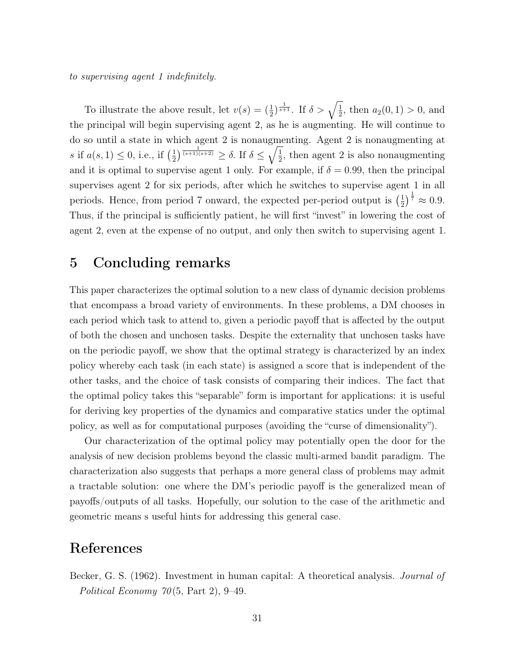to supervising agent 1 indefinitely.

To illustrate the above result, let  $v(s) = (\frac{1}{2})^{\frac{1}{s+1}}$ . If  $\delta > \sqrt{\frac{1}{2}}$  $\frac{1}{2}$ , then  $a_2(0,1) > 0$ , and the principal will begin supervising agent 2, as he is augmenting. He will continue to do so until a state in which agent 2 is nonaugmenting. Agent 2 is nonaugmenting at s if  $a(s, 1) \leq 0$ , i.e., if  $\left(\frac{1}{2}\right)$  $\frac{1}{2}$ ) $\frac{1}{(s+1)(s+2)} \geq \delta$ . If  $\delta \leq \sqrt{\frac{1}{2}}$  $\frac{1}{2}$ , then agent 2 is also nonaugmenting and it is optimal to supervise agent 1 only. For example, if  $\delta = 0.99$ , then the principal supervises agent 2 for six periods, after which he switches to supervise agent 1 in all periods. Hence, from period 7 onward, the expected per-period output is  $\left(\frac{1}{2}\right)$  $(\frac{1}{2})^{\frac{1}{7}} \approx 0.9.$ Thus, if the principal is sufficiently patient, he will first "invest" in lowering the cost of agent 2, even at the expense of no output, and only then switch to supervising agent 1.

## <span id="page-31-0"></span>5 Concluding remarks

This paper characterizes the optimal solution to a new class of dynamic decision problems that encompass a broad variety of environments. In these problems, a DM chooses in each period which task to attend to, given a periodic payoff that is affected by the output of both the chosen and unchosen tasks. Despite the externality that unchosen tasks have on the periodic payoff, we show that the optimal strategy is characterized by an index policy whereby each task (in each state) is assigned a score that is independent of the other tasks, and the choice of task consists of comparing their indices. The fact that the optimal policy takes this "separable" form is important for applications: it is useful for deriving key properties of the dynamics and comparative statics under the optimal policy, as well as for computational purposes (avoiding the "curse of dimensionality").

Our characterization of the optimal policy may potentially open the door for the analysis of new decision problems beyond the classic multi-armed bandit paradigm. The characterization also suggests that perhaps a more general class of problems may admit a tractable solution: one where the DM's periodic payoff is the generalized mean of payoffs/outputs of all tasks. Hopefully, our solution to the case of the arithmetic and geometric means s useful hints for addressing this general case.

## References

<span id="page-31-1"></span>Becker, G. S. (1962). Investment in human capital: A theoretical analysis. Journal of Political Economy  $70(5, Part 2), 9-49.$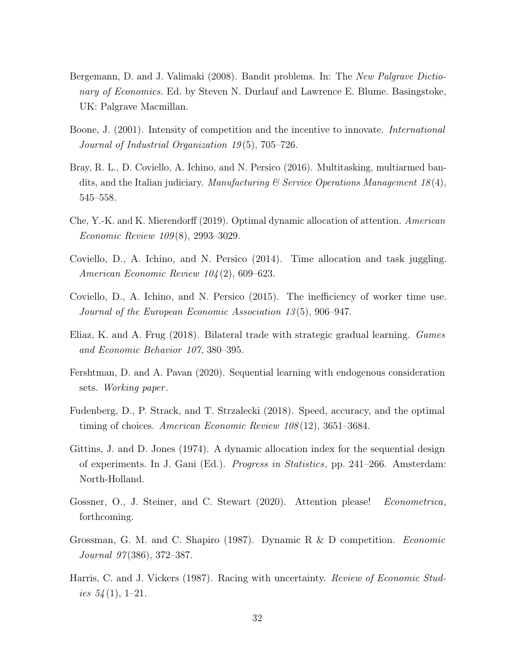- <span id="page-32-7"></span>Bergemann, D. and J. Valimaki (2008). Bandit problems. In: The New Palgrave Dictionary of Economics. Ed. by Steven N. Durlauf and Lawrence E. Blume. Basingstoke, UK: Palgrave Macmillan.
- <span id="page-32-12"></span>Boone, J. (2001). Intensity of competition and the incentive to innovate. International Journal of Industrial Organization 19(5), 705–726.
- <span id="page-32-2"></span>Bray, R. L., D. Coviello, A. Ichino, and N. Persico (2016). Multitasking, multiarmed bandits, and the Italian judiciary. Manufacturing  $\mathscr$  Service Operations Management 18(4), 545–558.
- <span id="page-32-5"></span>Che, Y.-K. and K. Mierendorff (2019). Optimal dynamic allocation of attention. American Economic Review 109 (8), 2993–3029.
- <span id="page-32-0"></span>Coviello, D., A. Ichino, and N. Persico (2014). Time allocation and task juggling. American Economic Review 104 (2), 609–623.
- <span id="page-32-1"></span>Coviello, D., A. Ichino, and N. Persico (2015). The inefficiency of worker time use. Journal of the European Economic Association 13 (5), 906–947.
- <span id="page-32-3"></span>Eliaz, K. and A. Frug (2018). Bilateral trade with strategic gradual learning. Games and Economic Behavior 107, 380–395.
- <span id="page-32-6"></span>Fershtman, D. and A. Pavan (2020). Sequential learning with endogenous consideration sets. Working paper.
- <span id="page-32-4"></span>Fudenberg, D., P. Strack, and T. Strzalecki (2018). Speed, accuracy, and the optimal timing of choices. American Economic Review 108 (12), 3651–3684.
- <span id="page-32-9"></span>Gittins, J. and D. Jones (1974). A dynamic allocation index for the sequential design of experiments. In J. Gani (Ed.). Progress in Statistics, pp. 241–266. Amsterdam: North-Holland.
- <span id="page-32-8"></span>Gossner, O., J. Steiner, and C. Stewart (2020). Attention please! Econometrica, forthcoming.
- <span id="page-32-10"></span>Grossman, G. M. and C. Shapiro (1987). Dynamic R & D competition. Economic Journal 97 (386), 372–387.
- <span id="page-32-11"></span>Harris, C. and J. Vickers (1987). Racing with uncertainty. Review of Economic Studies  $54(1), 1-21.$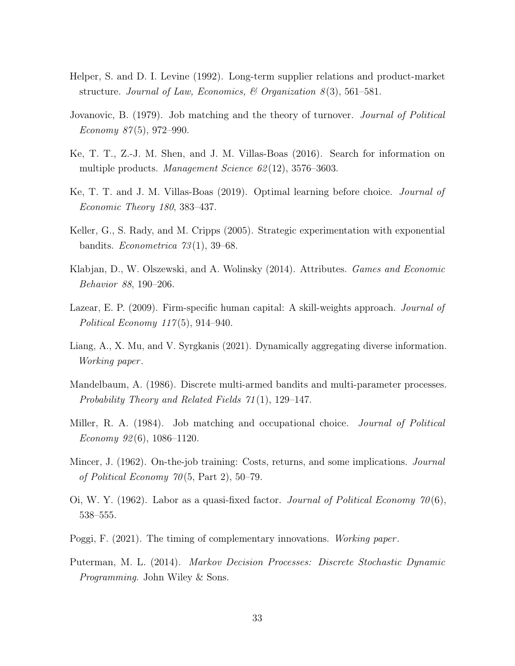- <span id="page-33-9"></span>Helper, S. and D. I. Levine (1992). Long-term supplier relations and product-market structure. Journal of Law, Economics, & Organization  $8(3)$ , 561–581.
- <span id="page-33-0"></span>Jovanovic, B. (1979). Job matching and the theory of turnover. Journal of Political Economy  $87(5)$ , 972–990.
- <span id="page-33-4"></span>Ke, T. T., Z.-J. M. Shen, and J. M. Villas-Boas (2016). Search for information on multiple products. *Management Science 62* (12), 3576–3603.
- <span id="page-33-5"></span>Ke, T. T. and J. M. Villas-Boas (2019). Optimal learning before choice. Journal of Economic Theory 180, 383–437.
- <span id="page-33-2"></span>Keller, G., S. Rady, and M. Cripps (2005). Strategic experimentation with exponential bandits. *Econometrica*  $73(1)$ , 39–68.
- <span id="page-33-3"></span>Klabjan, D., W. Olszewski, and A. Wolinsky (2014). Attributes. Games and Economic Behavior 88, 190–206.
- <span id="page-33-12"></span>Lazear, E. P. (2009). Firm-specific human capital: A skill-weights approach. *Journal of* Political Economy  $117(5)$ , 914–940.
- <span id="page-33-6"></span>Liang, A., X. Mu, and V. Syrgkanis (2021). Dynamically aggregating diverse information. Working paper .
- <span id="page-33-7"></span>Mandelbaum, A. (1986). Discrete multi-armed bandits and multi-parameter processes. Probability Theory and Related Fields 71 (1), 129–147.
- <span id="page-33-1"></span>Miller, R. A. (1984). Job matching and occupational choice. *Journal of Political* Economy  $92(6)$ , 1086-1120.
- <span id="page-33-10"></span>Mincer, J. (1962). On-the-job training: Costs, returns, and some implications. *Journal* of Political Economy  $70(5, Part 2), 50-79.$
- <span id="page-33-11"></span>Oi, W. Y. (1962). Labor as a quasi-fixed factor. Journal of Political Economy  $70(6)$ , 538–555.
- <span id="page-33-13"></span>Poggi, F. (2021). The timing of complementary innovations. Working paper.
- <span id="page-33-8"></span>Puterman, M. L. (2014). Markov Decision Processes: Discrete Stochastic Dynamic Programming. John Wiley & Sons.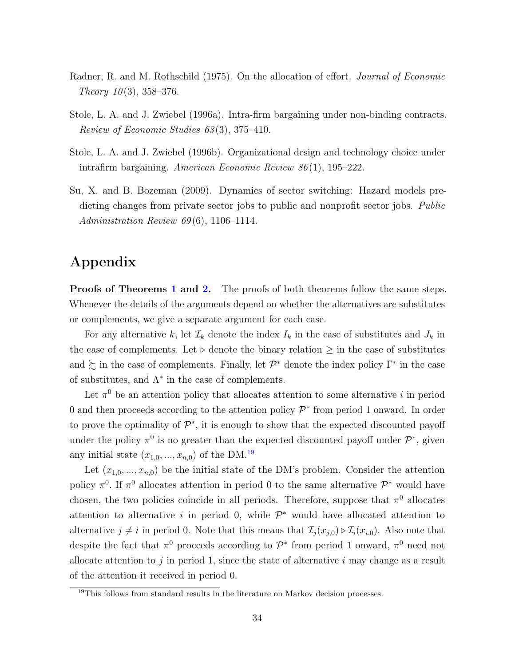- <span id="page-34-1"></span>Radner, R. and M. Rothschild (1975). On the allocation of effort. Journal of Economic Theory  $10(3)$ , 358-376.
- <span id="page-34-2"></span>Stole, L. A. and J. Zwiebel (1996a). Intra-firm bargaining under non-binding contracts. Review of Economic Studies 63 (3), 375–410.
- <span id="page-34-0"></span>Stole, L. A. and J. Zwiebel (1996b). Organizational design and technology choice under intrafirm bargaining. American Economic Review 86 (1), 195–222.
- <span id="page-34-3"></span>Su, X. and B. Bozeman (2009). Dynamics of sector switching: Hazard models predicting changes from private sector jobs to public and nonprofit sector jobs. Public Administration Review  $69(6)$ , 1106–1114.

# Appendix

**Proofs of Theorems [1](#page-10-1) and [2.](#page-24-0)** The proofs of both theorems follow the same steps. Whenever the details of the arguments depend on whether the alternatives are substitutes or complements, we give a separate argument for each case.

For any alternative k, let  $\mathcal{I}_k$  denote the index  $I_k$  in the case of substitutes and  $J_k$  in the case of complements. Let  $\triangleright$  denote the binary relation  $\geq$  in the case of substitutes and  $\succsim$  in the case of complements. Finally, let  $\mathcal{P}^*$  denote the index policy  $\Gamma^*$  in the case of substitutes, and  $\Lambda^*$  in the case of complements.

Let  $\pi^0$  be an attention policy that allocates attention to some alternative i in period 0 and then proceeds according to the attention policy  $\mathcal{P}^*$  from period 1 onward. In order to prove the optimality of  $\mathcal{P}^*$ , it is enough to show that the expected discounted payoff under the policy  $\pi^0$  is no greater than the expected discounted payoff under  $\mathcal{P}^*$ , given any initial state  $(x_{1,0},...,x_{n,0})$  of the DM.<sup>[19](#page-34-4)</sup>

Let  $(x_{1,0},...,x_{n,0})$  be the initial state of the DM's problem. Consider the attention policy  $\pi^0$ . If  $\pi^0$  allocates attention in period 0 to the same alternative  $\mathcal{P}^*$  would have chosen, the two policies coincide in all periods. Therefore, suppose that  $\pi^0$  allocates attention to alternative i in period 0, while  $\mathcal{P}^*$  would have allocated attention to alternative  $j \neq i$  in period 0. Note that this means that  $\mathcal{I}_i(x_{i,0}) \triangleright \mathcal{I}_i(x_{i,0})$ . Also note that despite the fact that  $\pi^0$  proceeds according to  $\mathcal{P}^*$  from period 1 onward,  $\pi^0$  need not allocate attention to  $j$  in period 1, since the state of alternative  $i$  may change as a result of the attention it received in period 0.

<span id="page-34-4"></span><sup>&</sup>lt;sup>19</sup>This follows from standard results in the literature on Markov decision processes.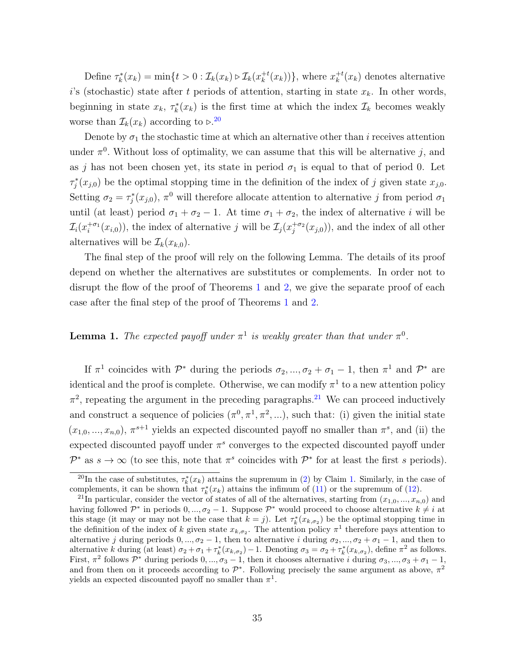Define  $\tau_k^*(x_k) = \min\{t > 0 : \mathcal{I}_k(x_k) \triangleright \mathcal{I}_k(x_k^{+t})\}$  $_{k}^{+t}(x_{k}))\},$  where  $x_{k}^{+t}$  $k^{+t}(x_k)$  denotes alternative i's (stochastic) state after t periods of attention, starting in state  $x_k$ . In other words, beginning in state  $x_k$ ,  $\tau_k^*(x_k)$  is the first time at which the index  $\mathcal{I}_k$  becomes weakly worse than  $\mathcal{I}_k(x_k)$  according to  $\triangleright$ .<sup>[20](#page-35-0)</sup>

Denote by  $\sigma_1$  the stochastic time at which an alternative other than i receives attention under  $\pi^0$ . Without loss of optimality, we can assume that this will be alternative j, and as j has not been chosen yet, its state in period  $\sigma_1$  is equal to that of period 0. Let  $\tau_j^*(x_{j,0})$  be the optimal stopping time in the definition of the index of j given state  $x_{j,0}$ . Setting  $\sigma_2 = \tau_j^*(x_{j,0}), \pi^0$  will therefore allocate attention to alternative j from period  $\sigma_1$ until (at least) period  $\sigma_1 + \sigma_2 - 1$ . At time  $\sigma_1 + \sigma_2$ , the index of alternative *i* will be  $\mathcal{I}_i(x_i^{+\sigma_1}(x_{i,0}))$ , the index of alternative j will be  $\mathcal{I}_j(x_j^{+\sigma_2}(x_{j,0}))$ , and the index of all other alternatives will be  $\mathcal{I}_k(x_{k,0})$ .

The final step of the proof will rely on the following Lemma. The details of its proof depend on whether the alternatives are substitutes or complements. In order not to disrupt the flow of the proof of Theorems [1](#page-10-1) and [2,](#page-24-0) we give the separate proof of each case after the final step of the proof of Theorems [1](#page-10-1) and [2.](#page-24-0)

### <span id="page-35-2"></span>**Lemma 1.** The expected payoff under  $\pi^1$  is weakly greater than that under  $\pi^0$ .

If  $\pi^1$  coincides with  $\mathcal{P}^*$  during the periods  $\sigma_2, ..., \sigma_2 + \sigma_1 - 1$ , then  $\pi^1$  and  $\mathcal{P}^*$  are identical and the proof is complete. Otherwise, we can modify  $\pi^1$  to a new attention policy  $\pi^2$ , repeating the argument in the preceding paragraphs.<sup>[21](#page-35-1)</sup> We can proceed inductively and construct a sequence of policies  $(\pi^0, \pi^1, \pi^2, \ldots)$ , such that: (i) given the initial state  $(x_{1,0},...,x_{n,0}), \pi^{s+1}$  yields an expected discounted payoff no smaller than  $\pi^s$ , and (ii) the expected discounted payoff under  $\pi^s$  converges to the expected discounted payoff under  $\mathcal{P}^*$  as  $s \to \infty$  (to see this, note that  $\pi^s$  coincides with  $\mathcal{P}^*$  for at least the first s periods).

<span id="page-35-0"></span><sup>&</sup>lt;sup>20</sup>In the case of substitutes,  $\tau_k^*(x_k)$  attains the supremum in [\(2\)](#page-8-1) by Claim [1.](#page-9-4) Similarly, in the case of complements, it can be shown that  $\tau_k^*(x_k)$  attains the infimum of [\(11\)](#page-22-2) or the supremum of [\(12\)](#page-22-1).

<span id="page-35-1"></span><sup>&</sup>lt;sup>21</sup>In particular, consider the vector of states of all of the alternatives, starting from  $(x_{1,0},...,x_{n,0})$  and having followed  $\mathcal{P}^*$  in periods  $0, ..., \sigma_2 - 1$ . Suppose  $\mathcal{P}^*$  would proceed to choose alternative  $k \neq i$  at this stage (it may or may not be the case that  $k = j$ ). Let  $\tau_k^*(x_{k, \sigma_2})$  be the optimal stopping time in the definition of the index of k given state  $x_{k,\sigma_2}$ . The attention policy  $\pi^1$  therefore pays attention to alternative j during periods  $0, ..., \sigma_2 - 1$ , then to alternative i during  $\sigma_2, ..., \sigma_2 + \sigma_1 - 1$ , and then to alternative k during (at least)  $\sigma_2 + \sigma_1 + \tau_k^*(x_{k,\sigma_2}) - 1$ . Denoting  $\sigma_3 = \sigma_2 + \tau_k^*(x_{k,\sigma_2})$ , define  $\pi^2$  as follows. First,  $\pi^2$  follows  $\mathcal{P}^*$  during periods  $0, ..., \sigma_3 - 1$ , then it chooses alternative *i* during  $\sigma_3, ..., \sigma_3 + \sigma_1 - 1$ , and from then on it proceeds according to  $\mathcal{P}^*$ . Following precisely the same argument as above,  $\pi^2$ yields an expected discounted payoff no smaller than  $\pi^1$ .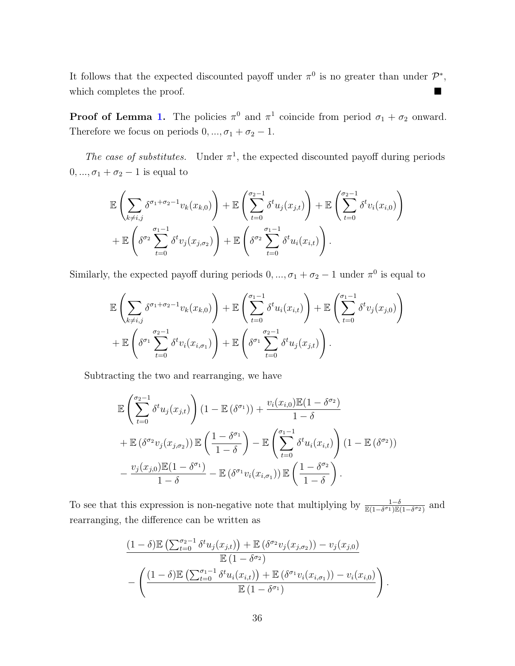It follows that the expected discounted payoff under  $\pi^0$  is no greater than under  $\mathcal{P}^*$ , which completes the proof.

**Proof of Lemma [1.](#page-35-2)** The policies  $\pi^0$  and  $\pi^1$  coincide from period  $\sigma_1 + \sigma_2$  onward. Therefore we focus on periods  $0, ..., \sigma_1 + \sigma_2 - 1$ .

The case of substitutes. Under  $\pi^1$ , the expected discounted payoff during periods  $0, ..., \sigma_1 + \sigma_2 - 1$  is equal to

$$
\mathbb{E}\left(\sum_{k\neq i,j}\delta^{\sigma_1+\sigma_2-1}v_k(x_{k,0})\right)+\mathbb{E}\left(\sum_{t=0}^{\sigma_2-1}\delta^t u_j(x_{j,t})\right)+\mathbb{E}\left(\sum_{t=0}^{\sigma_2-1}\delta^t v_i(x_{i,0})\right) \n+\mathbb{E}\left(\delta^{\sigma_2}\sum_{t=0}^{\sigma_1-1}\delta^t v_j(x_{j,\sigma_2})\right)+\mathbb{E}\left(\delta^{\sigma_2}\sum_{t=0}^{\sigma_1-1}\delta^t u_i(x_{i,t})\right).
$$

Similarly, the expected payoff during periods  $0, ..., \sigma_1 + \sigma_2 - 1$  under  $\pi^0$  is equal to

$$
\mathbb{E}\left(\sum_{k\neq i,j}\delta^{\sigma_1+\sigma_2-1}v_k(x_{k,0})\right)+\mathbb{E}\left(\sum_{t=0}^{\sigma_1-1}\delta^tu_i(x_{i,t})\right)+\mathbb{E}\left(\sum_{t=0}^{\sigma_1-1}\delta^tv_j(x_{j,0})\right) \n+\mathbb{E}\left(\delta^{\sigma_1}\sum_{t=0}^{\sigma_2-1}\delta^tv_i(x_{i,\sigma_1})\right)+\mathbb{E}\left(\delta^{\sigma_1}\sum_{t=0}^{\sigma_2-1}\delta^tu_j(x_{j,t})\right).
$$

Subtracting the two and rearranging, we have

$$
\mathbb{E}\left(\sum_{t=0}^{\sigma_2-1} \delta^t u_j(x_{j,t})\right) (1 - \mathbb{E}(\delta^{\sigma_1})) + \frac{v_i(x_{i,0})\mathbb{E}(1 - \delta^{\sigma_2})}{1 - \delta} \n+ \mathbb{E}(\delta^{\sigma_2} v_j(x_{j,\sigma_2})) \mathbb{E}\left(\frac{1 - \delta^{\sigma_1}}{1 - \delta}\right) - \mathbb{E}\left(\sum_{t=0}^{\sigma_1-1} \delta^t u_i(x_{i,t})\right) (1 - \mathbb{E}(\delta^{\sigma_2})) \n- \frac{v_j(x_{j,0})\mathbb{E}(1 - \delta^{\sigma_1})}{1 - \delta} - \mathbb{E}(\delta^{\sigma_1} v_i(x_{i,\sigma_1})) \mathbb{E}\left(\frac{1 - \delta^{\sigma_2}}{1 - \delta}\right).
$$

To see that this expression is non-negative note that multiplying by  $\frac{1-\delta}{\mathbb{E}(1-\delta^{\sigma_1})\mathbb{E}(1-\delta^{\sigma_2})}$  and rearranging, the difference can be written as

$$
\frac{(1-\delta)\mathbb{E}\left(\sum_{t=0}^{\sigma_2-1} \delta^t u_j(x_{j,t})\right) + \mathbb{E}\left(\delta^{\sigma_2} v_j(x_{j,\sigma_2})\right) - v_j(x_{j,0})}{\mathbb{E}\left(1-\delta^{\sigma_2}\right)} - \left(\frac{(1-\delta)\mathbb{E}\left(\sum_{t=0}^{\sigma_1-1} \delta^t u_i(x_{i,t})\right) + \mathbb{E}\left(\delta^{\sigma_1} v_i(x_{i,\sigma_1})\right) - v_i(x_{i,0})}{\mathbb{E}\left(1-\delta^{\sigma_1}\right)}\right)
$$

.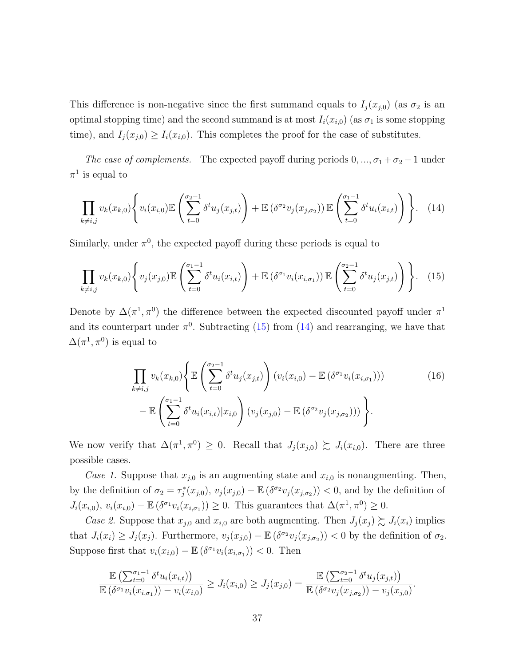This difference is non-negative since the first summand equals to  $I_j(x_{j,0})$  (as  $\sigma_2$  is an optimal stopping time) and the second summand is at most  $I_i(x_{i,0})$  (as  $\sigma_1$  is some stopping time), and  $I_j(x_{j,0}) \geq I_i(x_{i,0})$ . This completes the proof for the case of substitutes.

The case of complements. The expected payoff during periods  $0, ..., \sigma_1 + \sigma_2 - 1$  under  $\pi^1$  is equal to

$$
\prod_{k \neq i,j} v_k(x_{k,0}) \left\{ v_i(x_{i,0}) \mathbb{E} \left( \sum_{t=0}^{\sigma_2 - 1} \delta^t u_j(x_{j,t}) \right) + \mathbb{E} \left( \delta^{\sigma_2} v_j(x_{j,\sigma_2}) \right) \mathbb{E} \left( \sum_{t=0}^{\sigma_1 - 1} \delta^t u_i(x_{i,t}) \right) \right\}.
$$
 (14)

Similarly, under  $\pi^0$ , the expected payoff during these periods is equal to

$$
\prod_{k \neq i,j} v_k(x_{k,0}) \left\{ v_j(x_{j,0}) \mathbb{E} \left( \sum_{t=0}^{\sigma_1 - 1} \delta^t u_i(x_{i,t}) \right) + \mathbb{E} \left( \delta^{\sigma_1} v_i(x_{i,\sigma_1}) \right) \mathbb{E} \left( \sum_{t=0}^{\sigma_2 - 1} \delta^t u_j(x_{j,t}) \right) \right\}.
$$
 (15)

Denote by  $\Delta(\pi^1, \pi^0)$  the difference between the expected discounted payoff under  $\pi^1$ and its counterpart under  $\pi^0$ . Subtracting [\(15\)](#page-37-0) from [\(14\)](#page-37-1) and rearranging, we have that  $\Delta(\pi^1, \pi^0)$  is equal to

<span id="page-37-1"></span><span id="page-37-0"></span>
$$
\prod_{k \neq i,j} v_k(x_{k,0}) \Biggl\{ \mathbb{E} \left( \sum_{t=0}^{\sigma_2 - 1} \delta^t u_j(x_{j,t}) \right) (v_i(x_{i,0}) - \mathbb{E} \left( \delta^{\sigma_1} v_i(x_{i,\sigma_1}) \right)) - \mathbb{E} \left( \sum_{t=0}^{\sigma_1 - 1} \delta^t u_i(x_{i,t}) | x_{i,0} \right) (v_j(x_{j,0}) - \mathbb{E} \left( \delta^{\sigma_2} v_j(x_{j,\sigma_2}) \right)) \Biggr\}.
$$
\n(16)

We now verify that  $\Delta(\pi^1, \pi^0) \geq 0$ . Recall that  $J_j(x_{j,0}) \succsim J_i(x_{i,0})$ . There are three possible cases.

Case 1. Suppose that  $x_{i,0}$  is an augmenting state and  $x_{i,0}$  is nonaugmenting. Then, by the definition of  $\sigma_2 = \tau_j^*(x_{j,0}), v_j(x_{j,0}) - \mathbb{E}(\delta^{\sigma_2} v_j(x_{j,\sigma_2})) < 0$ , and by the definition of  $J_i(x_{i,0}), v_i(x_{i,0}) - \mathbb{E}(\delta^{\sigma_1} v_i(x_{i,\sigma_1})) \geq 0$ . This guarantees that  $\Delta(\pi^1, \pi^0) \geq 0$ .

Case 2. Suppose that  $x_{j,0}$  and  $x_{i,0}$  are both augmenting. Then  $J_j(x_j) \succsim J_i(x_i)$  implies that  $J_i(x_i) \geq J_j(x_j)$ . Furthermore,  $v_j(x_{j,0}) - \mathbb{E}(\delta^{\sigma_2} v_j(x_{j,\sigma_2})) < 0$  by the definition of  $\sigma_2$ . Suppose first that  $v_i(x_{i,0}) - \mathbb{E} (\delta^{\sigma_1} v_i(x_{i,\sigma_1})) < 0$ . Then

$$
\frac{\mathbb{E}\left(\sum_{t=0}^{\sigma_1-1} \delta^t u_i(x_{i,t})\right)}{\mathbb{E}\left(\delta^{\sigma_1} v_i(x_{i,\sigma_1})\right) - v_i(x_{i,0})} \geq J_i(x_{i,0}) \geq J_j(x_{j,0}) = \frac{\mathbb{E}\left(\sum_{t=0}^{\sigma_2-1} \delta^t u_j(x_{j,t})\right)}{\mathbb{E}\left(\delta^{\sigma_2} v_j(x_{j,\sigma_2})\right) - v_j(x_{j,0})}.
$$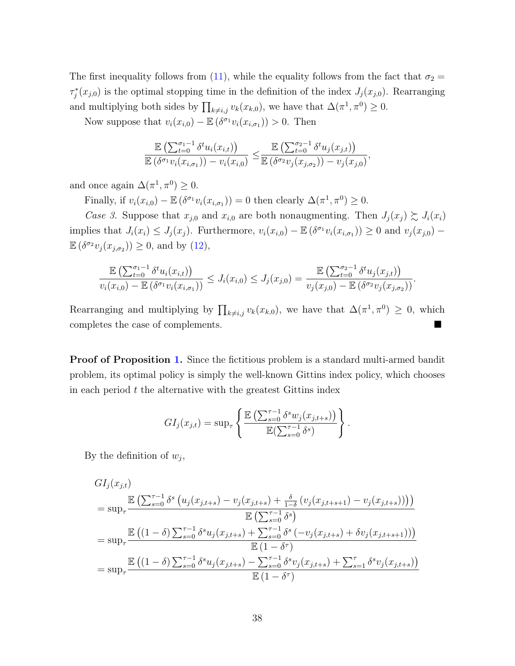The first inequality follows from [\(11\)](#page-22-2), while the equality follows from the fact that  $\sigma_2 =$  $\tau_j^*(x_{j,0})$  is the optimal stopping time in the definition of the index  $J_j(x_{j,0})$ . Rearranging and multiplying both sides by  $\prod_{k\neq i,j} v_k(x_{k,0}),$  we have that  $\Delta(\pi^1, \pi^0) \geq 0.$ 

Now suppose that  $v_i(x_{i,0}) - \mathbb{E}(\delta^{\sigma_1} v_i(x_{i,\sigma_1})) > 0$ . Then

$$
\frac{\mathbb{E}\left(\sum_{t=0}^{\sigma_1-1} \delta^t u_i(x_{i,t})\right)}{\mathbb{E}\left(\delta^{\sigma_1} v_i(x_{i,\sigma_1})\right) - v_i(x_{i,0})} \leq \frac{\mathbb{E}\left(\sum_{t=0}^{\sigma_2-1} \delta^t u_j(x_{j,t})\right)}{\mathbb{E}\left(\delta^{\sigma_2} v_j(x_{j,\sigma_2})\right) - v_j(x_{j,0})},
$$

and once again  $\Delta(\pi^1, \pi^0) \geq 0$ .

Finally, if  $v_i(x_{i,0}) - \mathbb{E} (\delta^{\sigma_1} v_i(x_{i,\sigma_1})) = 0$  then clearly  $\Delta(\pi^1, \pi^0) \geq 0$ .

Case 3. Suppose that  $x_{j,0}$  and  $x_{i,0}$  are both nonaugmenting. Then  $J_j(x_j) \succsim J_i(x_i)$ implies that  $J_i(x_i) \leq J_j(x_j)$ . Furthermore,  $v_i(x_{i,0}) - \mathbb{E}(\delta^{\sigma_1} v_i(x_{i,\sigma_1})) \geq 0$  and  $v_j(x_{j,0}) \mathbb{E}\left(\delta^{\sigma_2}v_j(x_{j,\sigma_2})\right) \geq 0$ , and by  $(12)$ ,

$$
\frac{\mathbb{E}\left(\sum_{t=0}^{\sigma_1-1} \delta^t u_i(x_{i,t})\right)}{v_i(x_{i,0}) - \mathbb{E}\left(\delta^{\sigma_1} v_i(x_{i,\sigma_1})\right)} \leq J_i(x_{i,0}) \leq J_j(x_{j,0}) = \frac{\mathbb{E}\left(\sum_{t=0}^{\sigma_2-1} \delta^t u_j(x_{j,t})\right)}{v_j(x_{j,0}) - \mathbb{E}\left(\delta^{\sigma_2} v_j(x_{j,\sigma_2})\right)}.
$$

Rearranging and multiplying by  $\prod_{k\neq i,j} v_k(x_{k,0})$ , we have that  $\Delta(\pi^1, \pi^0) \geq 0$ , which completes the case of complements.

Proof of Proposition [1.](#page-14-1) Since the fictitious problem is a standard multi-armed bandit problem, its optimal policy is simply the well-known Gittins index policy, which chooses in each period  $t$  the alternative with the greatest Gittins index

$$
GI_j(x_{j,t}) = \sup \left\{ \frac{\mathbb{E}\left(\sum_{s=0}^{\tau-1} \delta^s w_j(x_{j,t+s})\right)}{\mathbb{E}(\sum_{s=0}^{\tau-1} \delta^s)}\right\}.
$$

By the definition of  $w_j$ ,

$$
GI_j(x_{j,t})
$$
  
=  $\sup_{\tau}$   $\frac{\mathbb{E}\left(\sum_{s=0}^{\tau-1} \delta^s (u_j(x_{j,t+s}) - v_j(x_{j,t+s}) + \frac{\delta}{1-\delta} (v_j(x_{j,t+s+1}) - v_j(x_{j,t+s}))\right)\right)}{\mathbb{E}\left(\sum_{s=0}^{\tau-1} \delta^s\right)}$   
=  $\sup_{\tau}$   $\frac{\mathbb{E}\left((1-\delta)\sum_{s=0}^{\tau-1} \delta^s u_j(x_{j,t+s}) + \sum_{s=0}^{\tau-1} \delta^s (-v_j(x_{j,t+s}) + \delta v_j(x_{j,t+s+1}))\right)}{\mathbb{E}(1-\delta^{\tau})}$   
=  $\sup_{\tau}$   $\frac{\mathbb{E}\left((1-\delta)\sum_{s=0}^{\tau-1} \delta^s u_j(x_{j,t+s}) - \sum_{s=0}^{\tau-1} \delta^s v_j(x_{j,t+s}) + \sum_{s=1}^{\tau} \delta^s v_j(x_{j,t+s})\right)}{\mathbb{E}(1-\delta^{\tau})}$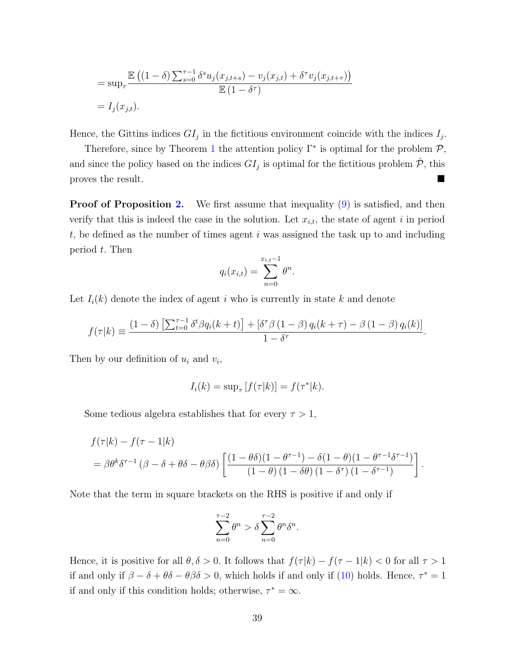$$
= \sup_{\tau} \frac{\mathbb{E}\left( (1-\delta) \sum_{s=0}^{\tau-1} \delta^s u_j(x_{j,t+s}) - v_j(x_{j,t}) + \delta^{\tau} v_j(x_{j,t+\tau}) \right)}{\mathbb{E}\left( 1 - \delta^{\tau} \right)}
$$
  
=  $I_j(x_{j,t}).$ 

Hence, the Gittins indices  $GI_j$  in the fictitious environment coincide with the indices  $I_j$ .

Therefore, since by Theorem [1](#page-10-1) the attention policy  $\Gamma^*$  is optimal for the problem  $\mathcal{P}$ , and since the policy based on the indices  $GI_j$  is optimal for the fictitious problem  $\hat{\mathcal{P}}$ , this proves the result.

**Proof of Proposition [2.](#page-17-1)** We first assume that inequality  $(9)$  is satisfied, and then verify that this is indeed the case in the solution. Let  $x_{i,t}$ , the state of agent i in period  $t$ , be defined as the number of times agent  $i$  was assigned the task up to and including period t. Then

$$
q_i(x_{i,t}) = \sum_{n=0}^{x_{i,t}-1} \theta^n.
$$

Let  $I_i(k)$  denote the index of agent i who is currently in state k and denote

$$
f(\tau|k) \equiv \frac{(1-\delta)\left[\sum_{t=0}^{\tau-1} \delta^t \beta q_i(k+t)\right] + \left[\delta^{\tau} \beta \left(1-\beta\right) q_i(k+\tau) - \beta \left(1-\beta\right) q_i(k)\right]}{1-\delta^{\tau}}.
$$

Then by our definition of  $u_i$  and  $v_i$ ,

$$
I_i(k) = \sup_{\tau} [f(\tau|k)] = f(\tau^*|k).
$$

Some tedious algebra establishes that for every  $\tau > 1$ ,

$$
f(\tau|k) - f(\tau - 1|k)
$$
  
=  $\beta \theta^k \delta^{\tau-1} (\beta - \delta + \theta \delta - \theta \beta \delta) \left[ \frac{(1 - \theta \delta)(1 - \theta^{\tau-1}) - \delta (1 - \theta)(1 - \theta^{\tau-1} \delta^{\tau-1})}{(1 - \theta)(1 - \delta \theta)(1 - \delta^{\tau})(1 - \delta^{\tau-1})} \right].$ 

Note that the term in square brackets on the RHS is positive if and only if

$$
\sum_{n=0}^{\tau-2} \theta^n > \delta \sum_{n=0}^{\tau-2} \theta^n \delta^n.
$$

Hence, it is positive for all  $\theta, \delta > 0$ . It follows that  $f(\tau |k) - f(\tau - 1 |k) < 0$  for all  $\tau > 1$ if and only if  $\beta - \delta + \theta \delta - \theta \beta \delta > 0$ , which holds if and only if [\(10\)](#page-17-0) holds. Hence,  $\tau^* = 1$ if and only if this condition holds; otherwise,  $\tau^* = \infty$ .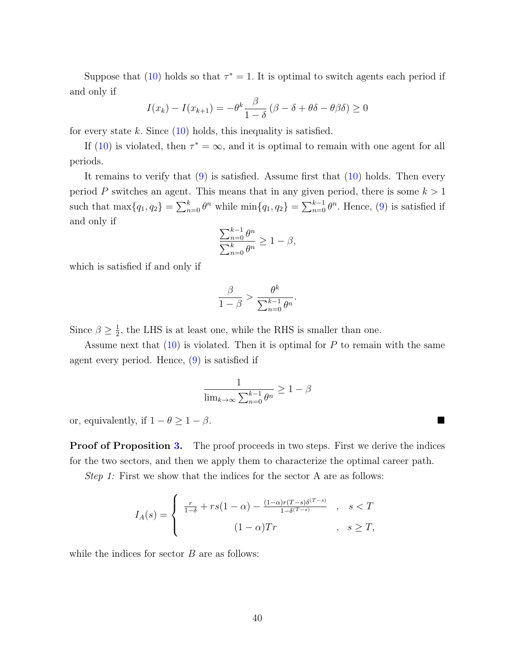Suppose that [\(10\)](#page-17-0) holds so that  $\tau^* = 1$ . It is optimal to switch agents each period if and only if

$$
I(x_k) - I(x_{k+1}) = -\theta^k \frac{\beta}{1-\delta} \left(\beta - \delta + \theta\delta - \theta\beta\delta\right) \ge 0
$$

for every state k. Since  $(10)$  holds, this inequality is satisfied.

If [\(10\)](#page-17-0) is violated, then  $\tau^* = \infty$ , and it is optimal to remain with one agent for all periods.

It remains to verify that  $(9)$  is satisfied. Assume first that  $(10)$  holds. Then every period P switches an agent. This means that in any given period, there is some  $k > 1$ such that  $\max\{q_1, q_2\} = \sum_{n=0}^{k} \theta^n$  while  $\min\{q_1, q_2\} = \sum_{n=0}^{k-1} \theta^n$ . Hence, [\(9\)](#page-16-1) is satisfied if and only if

$$
\frac{\sum_{n=0}^{k-1} \theta^n}{\sum_{n=0}^k \theta^n} \ge 1 - \beta,
$$

which is satisfied if and only if

$$
\frac{\beta}{1-\beta} > \frac{\theta^k}{\sum_{n=0}^{k-1} \theta^n}.
$$

Since  $\beta \geq \frac{1}{2}$  $\frac{1}{2}$ , the LHS is at least one, while the RHS is smaller than one.

Assume next that  $(10)$  is violated. Then it is optimal for P to remain with the same agent every period. Hence, [\(9\)](#page-16-1) is satisfied if

$$
\frac{1}{\lim_{k \to \infty} \sum_{n=0}^{k-1} \theta^n} \ge 1 - \beta
$$

or, equivalently, if  $1 - \theta \geq 1 - \beta$ .

**Proof of Proposition [3.](#page-19-1)** The proof proceeds in two steps. First we derive the indices for the two sectors, and then we apply them to characterize the optimal career path.

Step 1: First we show that the indices for the sector A are as follows:

$$
I_A(s) = \begin{cases} \frac{r}{1-\delta} + rs(1-\alpha) - \frac{(1-\alpha)r(T-s)\delta^{(T-s)}}{1-\delta^{(T-s)}} & , s < T \\ (1-\alpha)Tr & , s \ge T, \end{cases}
$$

while the indices for sector  $B$  are as follows: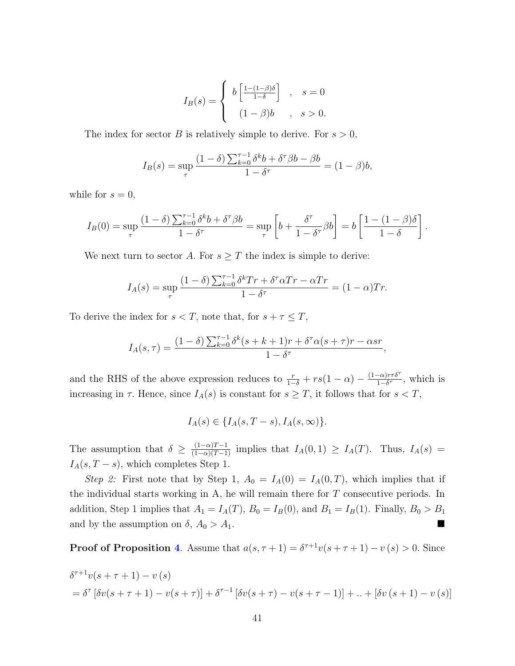$$
I_B(s) = \begin{cases} b\left[\frac{1-(1-\beta)\delta}{1-\delta}\right] , & s=0\\ (1-\beta)b , & s>0. \end{cases}
$$

The index for sector B is relatively simple to derive. For  $s > 0$ ,

$$
I_B(s) = \sup_{\tau} \frac{(1-\delta) \sum_{k=0}^{\tau-1} \delta^k b + \delta^{\tau} \beta b - \beta b}{1 - \delta^{\tau}} = (1-\beta)b,
$$

while for  $s = 0$ ,

$$
I_B(0) = \sup_{\tau} \frac{(1-\delta) \sum_{k=0}^{\tau-1} \delta^k b + \delta^{\tau} \beta b}{1 - \delta^{\tau}} = \sup_{\tau} \left[ b + \frac{\delta^{\tau}}{1 - \delta^{\tau}} \beta b \right] = b \left[ \frac{1 - (1-\beta)\delta}{1 - \delta} \right].
$$

We next turn to sector A. For  $s \geq T$  the index is simple to derive:

$$
I_A(s) = \sup_{\tau} \frac{(1-\delta) \sum_{k=0}^{\tau-1} \delta^k Tr + \delta^{\tau} \alpha Tr - \alpha Tr}{1 - \delta^{\tau}} = (1-\alpha)Tr.
$$

To derive the index for  $s < T$ , note that, for  $s + \tau \leq T$ ,

$$
I_A(s,\tau) = \frac{(1-\delta)\sum_{k=0}^{\tau-1} \delta^k (s+k+1)r + \delta^\tau \alpha (s+\tau)r - \alpha sr}{1-\delta^\tau},
$$

and the RHS of the above expression reduces to  $\frac{r}{1-\delta} + rs(1-\alpha) - \frac{(1-\alpha)r\tau\delta^{\tau}}{1-\delta^{\tau}}$  $\frac{(-\alpha)r\tau\delta'}{1-\delta\tau}$ , which is increasing in  $\tau$ . Hence, since  $I_A(s)$  is constant for  $s \geq T$ , it follows that for  $s < T$ ,

$$
I_A(s) \in \{I_A(s, T-s), I_A(s, \infty)\}.
$$

The assumption that  $\delta \geq \frac{(1-\alpha)T-1}{(1-\alpha)(T-1)}$  implies that  $I_A(0,1) \geq I_A(T)$ . Thus,  $I_A(s)$  $I_A(s, T - s)$ , which completes Step 1.

Step 2: First note that by Step 1,  $A_0 = I_A(0) = I_A(0,T)$ , which implies that if the individual starts working in A, he will remain there for T consecutive periods. In addition, Step 1 implies that  $A_1 = I_A(T)$ ,  $B_0 = I_B(0)$ , and  $B_1 = I_B(1)$ . Finally,  $B_0 > B_1$ and by the assumption on  $\delta$ ,  $A_0 > A_1$ .

**Proof of Proposition [4](#page-25-3).** Assume that  $a(s, \tau + 1) = \delta^{\tau+1}v(s + \tau + 1) - v(s) > 0$ . Since

$$
\delta^{\tau+1} v(s+\tau+1) - v(s)
$$
  
=  $\delta^{\tau} [\delta v(s+\tau+1) - v(s+\tau)] + \delta^{\tau-1} [\delta v(s+\tau) - v(s+\tau-1)] + ... + [\delta v(s+1) - v(s)]$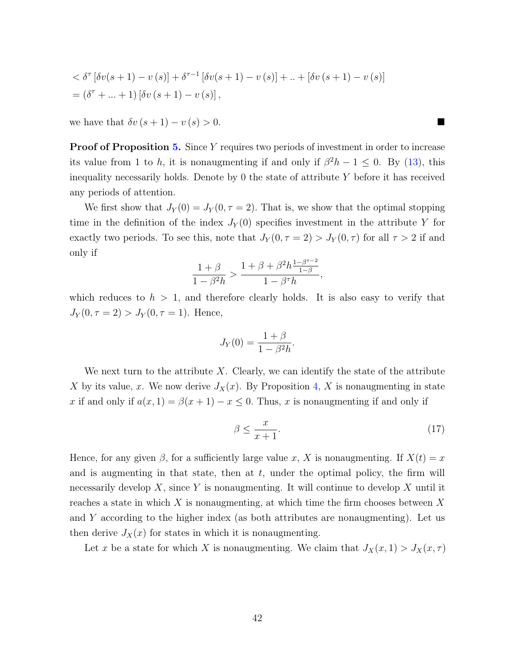$$
\langle \delta^{\tau} [\delta v(s+1) - v(s)] + \delta^{\tau-1} [\delta v(s+1) - v(s)] + ... + [\delta v(s+1) - v(s)]
$$
  
=  $(\delta^{\tau} + ... + 1) [\delta v(s+1) - v(s)],$ 

we have that  $\delta v (s + 1) - v (s) > 0$ .

**Proof of Proposition [5.](#page-29-0)** Since Y requires two periods of investment in order to increase its value from 1 to h, it is nonaugmenting if and only if  $\beta^2 h - 1 \leq 0$ . By [\(13\)](#page-29-1), this inequality necessarily holds. Denote by  $\theta$  the state of attribute Y before it has received any periods of attention.

We first show that  $J_Y(0) = J_Y(0, \tau = 2)$ . That is, we show that the optimal stopping time in the definition of the index  $J_Y(0)$  specifies investment in the attribute Y for exactly two periods. To see this, note that  $J_Y(0, \tau = 2) > J_Y(0, \tau)$  for all  $\tau > 2$  if and only if

$$
\frac{1+\beta}{1-\beta^2h} > \frac{1+\beta+\beta^2h\frac{1-\beta^{\tau-2}}{1-\beta}}{1-\beta^{\tau}h},
$$

which reduces to  $h > 1$ , and therefore clearly holds. It is also easy to verify that  $J_Y(0, \tau = 2) > J_Y(0, \tau = 1)$ . Hence,

$$
J_Y(0) = \frac{1+\beta}{1-\beta^2h}.
$$

We next turn to the attribute X. Clearly, we can identify the state of the attribute X by its value, x. We now derive  $J_X(x)$ . By Proposition [4,](#page-25-3) X is nonaugmenting in state x if and only if  $a(x, 1) = \beta(x + 1) - x \leq 0$ . Thus, x is nonaugmenting if and only if

$$
\beta \le \frac{x}{x+1}.\tag{17}
$$

Hence, for any given  $\beta$ , for a sufficiently large value x, X is nonaugmenting. If  $X(t) = x$ and is augmenting in that state, then at  $t$ , under the optimal policy, the firm will necessarily develop  $X$ , since Y is nonaugmenting. It will continue to develop X until it reaches a state in which  $X$  is nonaugmenting, at which time the firm chooses between  $X$ and Y according to the higher index (as both attributes are nonaugmenting). Let us then derive  $J_X(x)$  for states in which it is nonaugmenting.

Let x be a state for which X is nonaugmenting. We claim that  $J_X(x, 1) > J_X(x, \tau)$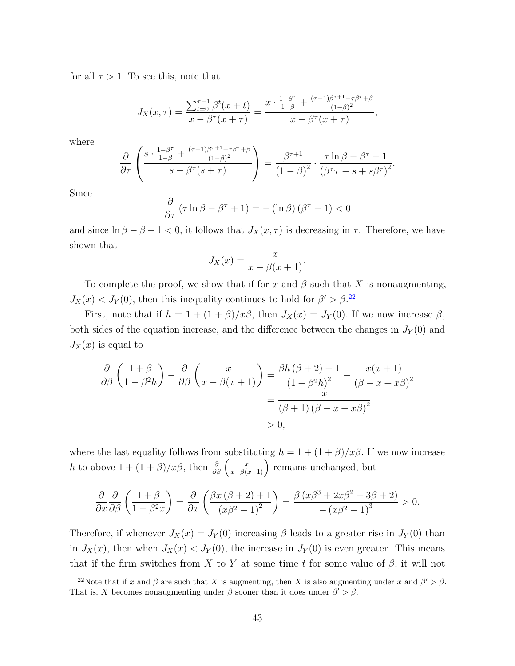for all  $\tau > 1$ . To see this, note that

$$
J_X(x,\tau) = \frac{\sum_{t=0}^{\tau-1} \beta^t (x+t)}{x - \beta^{\tau} (x+\tau)} = \frac{x \cdot \frac{1-\beta^{\tau}}{1-\beta} + \frac{(\tau-1)\beta^{\tau+1} - \tau \beta^{\tau} + \beta}{(1-\beta)^2}}{x - \beta^{\tau} (x+\tau)},
$$

where

$$
\frac{\partial}{\partial \tau} \left( \frac{s \cdot \frac{1-\beta^{\tau}}{1-\beta} + \frac{(\tau-1)\beta^{\tau+1} - \tau \beta^{\tau} + \beta}{(1-\beta)^2}}{s - \beta^{\tau} (s+\tau)} \right) = \frac{\beta^{\tau+1}}{(1-\beta)^2} \cdot \frac{\tau \ln \beta - \beta^{\tau} + 1}{(\beta^{\tau} \tau - s + s \beta^{\tau})^2}.
$$

Since

$$
\frac{\partial}{\partial \tau} \left( \tau \ln \beta - \beta^{\tau} + 1 \right) = - \left( \ln \beta \right) \left( \beta^{\tau} - 1 \right) < 0
$$

and since  $\ln \beta - \beta + 1 < 0$ , it follows that  $J_X(x, \tau)$  is decreasing in  $\tau$ . Therefore, we have shown that

$$
J_X(x) = \frac{x}{x - \beta(x + 1)}.
$$

To complete the proof, we show that if for x and  $\beta$  such that X is nonaugmenting,  $J_X(x) < J_Y(0)$ , then this inequality continues to hold for  $\beta' > \beta^{22}$  $\beta' > \beta^{22}$  $\beta' > \beta^{22}$ 

First, note that if  $h = 1 + (1 + \beta)/x\beta$ , then  $J_X(x) = J_Y(0)$ . If we now increase  $\beta$ , both sides of the equation increase, and the difference between the changes in  $J_Y(0)$  and  $J_X(x)$  is equal to

$$
\frac{\partial}{\partial \beta} \left( \frac{1+\beta}{1-\beta^2 h} \right) - \frac{\partial}{\partial \beta} \left( \frac{x}{x-\beta(x+1)} \right) = \frac{\beta h \left( \beta+2 \right) + 1}{\left(1-\beta^2 h\right)^2} - \frac{x(x+1)}{\left( \beta - x + x\beta \right)^2}
$$

$$
= \frac{x}{\left( \beta + 1 \right) \left( \beta - x + x\beta \right)^2}
$$

$$
> 0,
$$

where the last equality follows from substituting  $h = 1 + (1 + \beta)/x\beta$ . If we now increase h to above  $1 + (1 + \beta)/x\beta$ , then  $\frac{\partial}{\partial \beta} \left( \frac{x}{x - \beta(x+1)} \right)$  remains unchanged, but

$$
\frac{\partial}{\partial x}\frac{\partial}{\partial \beta}\left(\frac{1+\beta}{1-\beta^2x}\right) = \frac{\partial}{\partial x}\left(\frac{\beta x\left(\beta+2\right)+1}{\left(x\beta^2-1\right)^2}\right) = \frac{\beta\left(x\beta^3+2x\beta^2+3\beta+2\right)}{-\left(x\beta^2-1\right)^3} > 0.
$$

Therefore, if whenever  $J_X(x) = J_Y(0)$  increasing  $\beta$  leads to a greater rise in  $J_Y(0)$  than in  $J_X(x)$ , then when  $J_X(x) < J_Y(0)$ , the increase in  $J_Y(0)$  is even greater. This means that if the firm switches from X to Y at some time t for some value of  $\beta$ , it will not

<span id="page-43-0"></span><sup>&</sup>lt;sup>22</sup>Note that if x and  $\beta$  are such that X is augmenting, then X is also augmenting under x and  $\beta' > \beta$ . That is, X becomes nonaugmenting under  $\beta$  sooner than it does under  $\beta' > \beta$ .